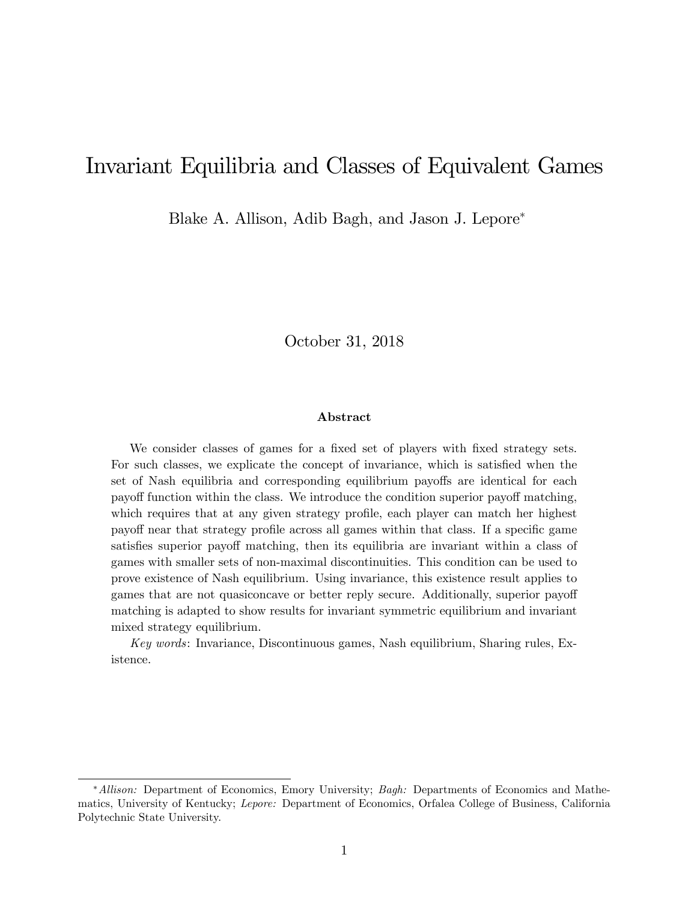# Invariant Equilibria and Classes of Equivalent Games

Blake A. Allison, Adib Bagh, and Jason J. Lepore

October 31, 2018

### Abstract

We consider classes of games for a fixed set of players with fixed strategy sets. For such classes, we explicate the concept of invariance, which is satisfied when the set of Nash equilibria and corresponding equilibrium payoffs are identical for each payoff function within the class. We introduce the condition superior payoff matching, which requires that at any given strategy profile, each player can match her highest payoff near that strategy profile across all games within that class. If a specific game satisfies superior payoff matching, then its equilibria are invariant within a class of games with smaller sets of non-maximal discontinuities. This condition can be used to prove existence of Nash equilibrium. Using invariance, this existence result applies to games that are not quasiconcave or better reply secure. Additionally, superior payoff matching is adapted to show results for invariant symmetric equilibrium and invariant mixed strategy equilibrium.

Key words: Invariance, Discontinuous games, Nash equilibrium, Sharing rules, Existence.

<sup>\*</sup>Allison: Department of Economics, Emory University; Bagh: Departments of Economics and Mathematics, University of Kentucky; Lepore: Department of Economics, Orfalea College of Business, California Polytechnic State University.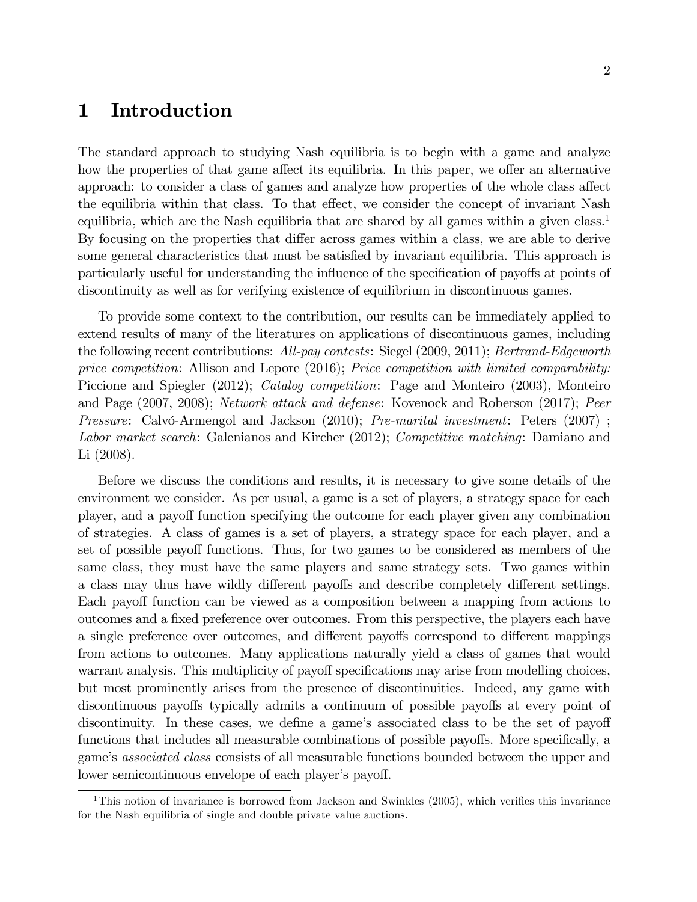# 1 Introduction

The standard approach to studying Nash equilibria is to begin with a game and analyze how the properties of that game affect its equilibria. In this paper, we offer an alternative approach: to consider a class of games and analyze how properties of the whole class affect the equilibria within that class. To that effect, we consider the concept of invariant Nash equilibria, which are the Nash equilibria that are shared by all games within a given class.<sup>1</sup> By focusing on the properties that differ across games within a class, we are able to derive some general characteristics that must be satisfied by invariant equilibria. This approach is particularly useful for understanding the influence of the specification of payoffs at points of discontinuity as well as for verifying existence of equilibrium in discontinuous games.

To provide some context to the contribution, our results can be immediately applied to extend results of many of the literatures on applications of discontinuous games, including the following recent contributions: All-pay contests: Siegel (2009, 2011); Bertrand-Edgeworth price competition: Allison and Lepore (2016); Price competition with limited comparability: Piccione and Spiegler (2012); *Catalog competition*: Page and Monteiro (2003), Monteiro and Page (2007, 2008); Network attack and defense: Kovenock and Roberson (2017); Peer *Pressure:* Calvó-Armengol and Jackson  $(2010)$ ; *Pre-marital investment:* Peters  $(2007)$ ; Labor market search: Galenianos and Kircher (2012); Competitive matching: Damiano and Li (2008).

Before we discuss the conditions and results, it is necessary to give some details of the environment we consider. As per usual, a game is a set of players, a strategy space for each player, and a payoff function specifying the outcome for each player given any combination of strategies. A class of games is a set of players, a strategy space for each player, and a set of possible payoff functions. Thus, for two games to be considered as members of the same class, they must have the same players and same strategy sets. Two games within a class may thus have wildly different payoffs and describe completely different settings. Each payoff function can be viewed as a composition between a mapping from actions to outcomes and a fixed preference over outcomes. From this perspective, the players each have a single preference over outcomes, and different payoffs correspond to different mappings from actions to outcomes. Many applications naturally yield a class of games that would warrant analysis. This multiplicity of payoff specifications may arise from modelling choices, but most prominently arises from the presence of discontinuities. Indeed, any game with discontinuous payoffs typically admits a continuum of possible payoffs at every point of discontinuity. In these cases, we define a game's associated class to be the set of payoff functions that includes all measurable combinations of possible payoffs. More specifically, a game's *associated class* consists of all measurable functions bounded between the upper and lower semicontinuous envelope of each player's payoff.

<sup>&</sup>lt;sup>1</sup>This notion of invariance is borrowed from Jackson and Swinkles  $(2005)$ , which verifies this invariance for the Nash equilibria of single and double private value auctions.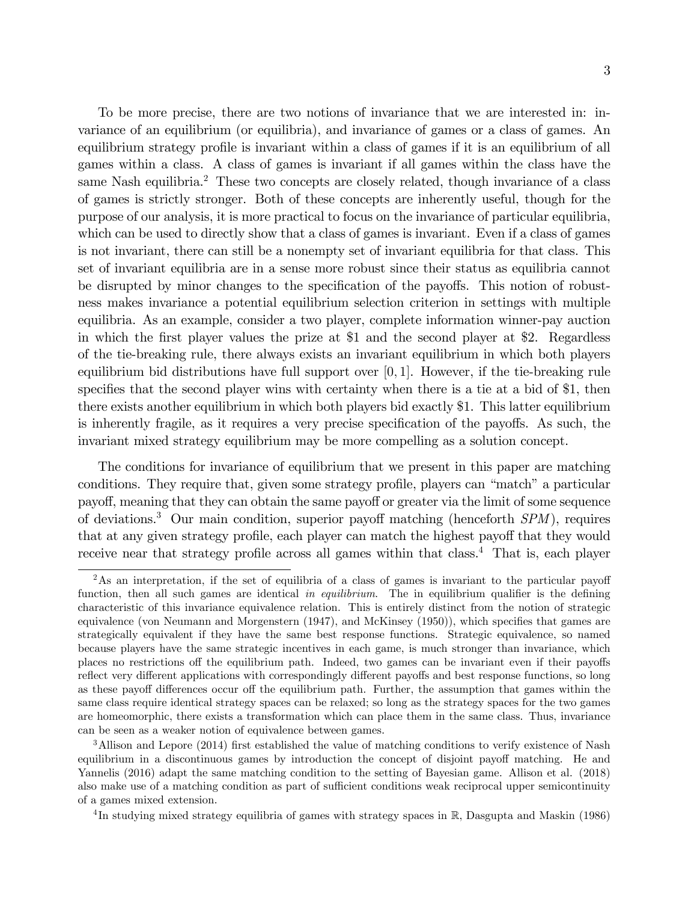To be more precise, there are two notions of invariance that we are interested in: invariance of an equilibrium (or equilibria), and invariance of games or a class of games. An equilibrium strategy profile is invariant within a class of games if it is an equilibrium of all games within a class. A class of games is invariant if all games within the class have the same Nash equilibria.<sup>2</sup> These two concepts are closely related, though invariance of a class of games is strictly stronger. Both of these concepts are inherently useful, though for the purpose of our analysis, it is more practical to focus on the invariance of particular equilibria, which can be used to directly show that a class of games is invariant. Even if a class of games is not invariant, there can still be a nonempty set of invariant equilibria for that class. This set of invariant equilibria are in a sense more robust since their status as equilibria cannot be disrupted by minor changes to the specification of the payoffs. This notion of robustness makes invariance a potential equilibrium selection criterion in settings with multiple equilibria. As an example, consider a two player, complete information winner-pay auction in which the first player values the prize at \$1 and the second player at \$2. Regardless of the tie-breaking rule, there always exists an invariant equilibrium in which both players equilibrium bid distributions have full support over  $[0, 1]$ . However, if the tie-breaking rule specifies that the second player wins with certainty when there is a tie at a bid of \$1, then there exists another equilibrium in which both players bid exactly \$1. This latter equilibrium is inherently fragile, as it requires a very precise specification of the payoffs. As such, the invariant mixed strategy equilibrium may be more compelling as a solution concept.

The conditions for invariance of equilibrium that we present in this paper are matching conditions. They require that, given some strategy profile, players can "match" a particular payoff, meaning that they can obtain the same payoff or greater via the limit of some sequence of deviations.<sup>3</sup> Our main condition, superior payoff matching (henceforth  $SPM$ ), requires that at any given strategy profile, each player can match the highest payoff that they would receive near that strategy profile across all games within that class.<sup>4</sup> That is, each player

 $2\text{As an interpretation, if the set of equilibria of a class of games is invariant to the particular payoff.}$ function, then all such games are identical in equilibrium. The in equilibrium qualifier is the defining characteristic of this invariance equivalence relation. This is entirely distinct from the notion of strategic equivalence (von Neumann and Morgenstern  $(1947)$ , and McKinsey  $(1950)$ ), which specifies that games are strategically equivalent if they have the same best response functions. Strategic equivalence, so named because players have the same strategic incentives in each game, is much stronger than invariance, which places no restrictions off the equilibrium path. Indeed, two games can be invariant even if their payoffs reflect very different applications with correspondingly different payoffs and best response functions, so long as these payoff differences occur off the equilibrium path. Further, the assumption that games within the same class require identical strategy spaces can be relaxed; so long as the strategy spaces for the two games are homeomorphic, there exists a transformation which can place them in the same class. Thus, invariance can be seen as a weaker notion of equivalence between games.

<sup>&</sup>lt;sup>3</sup>Allison and Lepore (2014) first established the value of matching conditions to verify existence of Nash equilibrium in a discontinuous games by introduction the concept of disjoint payoff matching. He and Yannelis (2016) adapt the same matching condition to the setting of Bayesian game. Allison et al. (2018) also make use of a matching condition as part of sufficient conditions weak reciprocal upper semicontinuity of a games mixed extension.

<sup>&</sup>lt;sup>4</sup>In studying mixed strategy equilibria of games with strategy spaces in  $\mathbb{R}$ , Dasgupta and Maskin (1986)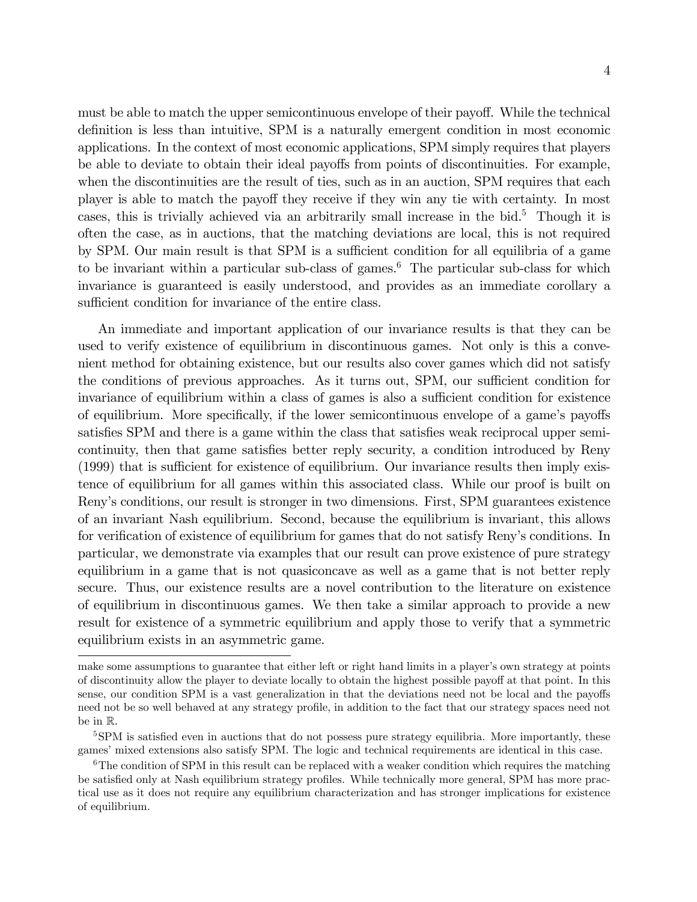must be able to match the upper semicontinuous envelope of their payoff. While the technical definition is less than intuitive, SPM is a naturally emergent condition in most economic applications. In the context of most economic applications, SPM simply requires that players be able to deviate to obtain their ideal payoffs from points of discontinuities. For example, when the discontinuities are the result of ties, such as in an auction, SPM requires that each player is able to match the payoff they receive if they win any tie with certainty. In most cases, this is trivially achieved via an arbitrarily small increase in the bid.<sup>5</sup> Though it is often the case, as in auctions, that the matching deviations are local, this is not required by SPM. Our main result is that SPM is a sufficient condition for all equilibria of a game to be invariant within a particular sub-class of games.<sup>6</sup> The particular sub-class for which invariance is guaranteed is easily understood, and provides as an immediate corollary a sufficient condition for invariance of the entire class.

An immediate and important application of our invariance results is that they can be used to verify existence of equilibrium in discontinuous games. Not only is this a convenient method for obtaining existence, but our results also cover games which did not satisfy the conditions of previous approaches. As it turns out, SPM, our sufficient condition for invariance of equilibrium within a class of games is also a sufficient condition for existence of equilibrium. More specifically, if the lower semicontinuous envelope of a game's payoffs satisfies SPM and there is a game within the class that satisfies weak reciprocal upper semicontinuity, then that game satisfies better reply security, a condition introduced by Reny  $(1999)$  that is sufficient for existence of equilibrium. Our invariance results then imply existence of equilibrium for all games within this associated class. While our proof is built on Renyís conditions, our result is stronger in two dimensions. First, SPM guarantees existence of an invariant Nash equilibrium. Second, because the equilibrium is invariant, this allows for verification of existence of equilibrium for games that do not satisfy Reny's conditions. In particular, we demonstrate via examples that our result can prove existence of pure strategy equilibrium in a game that is not quasiconcave as well as a game that is not better reply secure. Thus, our existence results are a novel contribution to the literature on existence of equilibrium in discontinuous games. We then take a similar approach to provide a new result for existence of a symmetric equilibrium and apply those to verify that a symmetric equilibrium exists in an asymmetric game.

make some assumptions to guarantee that either left or right hand limits in a player's own strategy at points of discontinuity allow the player to deviate locally to obtain the highest possible payoff at that point. In this sense, our condition SPM is a vast generalization in that the deviations need not be local and the payoffs need not be so well behaved at any strategy profile, in addition to the fact that our strategy spaces need not be in R.

<sup>&</sup>lt;sup>5</sup>SPM is satisfied even in auctions that do not possess pure strategy equilibria. More importantly, these games' mixed extensions also satisfy SPM. The logic and technical requirements are identical in this case.

 $6$ The condition of SPM in this result can be replaced with a weaker condition which requires the matching be satisfied only at Nash equilibrium strategy profiles. While technically more general, SPM has more practical use as it does not require any equilibrium characterization and has stronger implications for existence of equilibrium.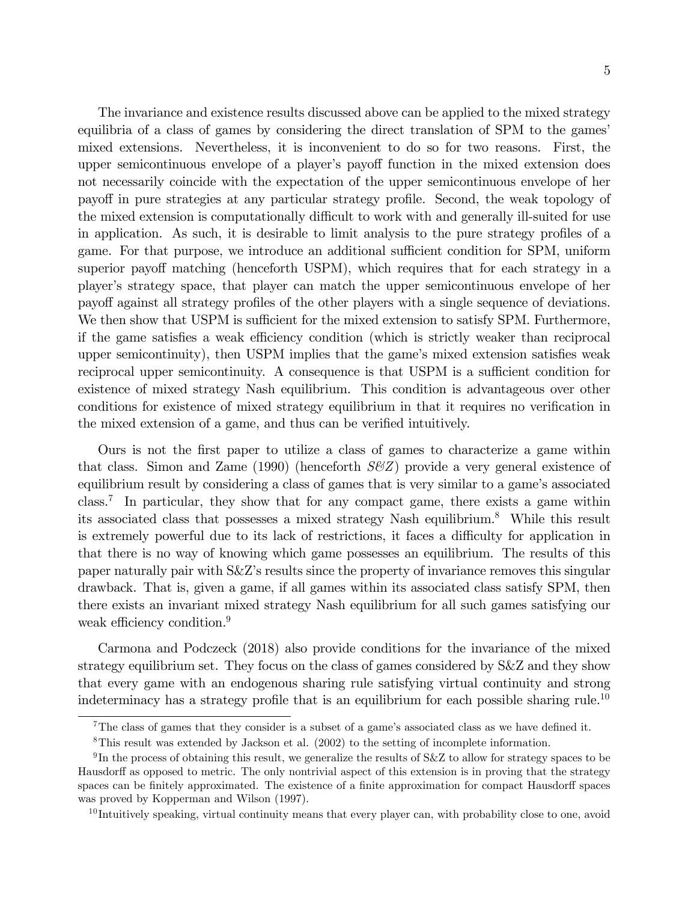The invariance and existence results discussed above can be applied to the mixed strategy equilibria of a class of games by considering the direct translation of SPM to the games'

mixed extensions. Nevertheless, it is inconvenient to do so for two reasons. First, the upper semicontinuous envelope of a player's payoff function in the mixed extension does not necessarily coincide with the expectation of the upper semicontinuous envelope of her payoff in pure strategies at any particular strategy profile. Second, the weak topology of the mixed extension is computationally difficult to work with and generally ill-suited for use in application. As such, it is desirable to limit analysis to the pure strategy profiles of a game. For that purpose, we introduce an additional sufficient condition for SPM, uniform superior payoff matching (henceforth USPM), which requires that for each strategy in a playerís strategy space, that player can match the upper semicontinuous envelope of her payoff against all strategy profiles of the other players with a single sequence of deviations. We then show that USPM is sufficient for the mixed extension to satisfy SPM. Furthermore, if the game satisfies a weak efficiency condition (which is strictly weaker than reciprocal upper semicontinuity), then USPM implies that the game's mixed extension satisfies weak reciprocal upper semicontinuity. A consequence is that USPM is a sufficient condition for existence of mixed strategy Nash equilibrium. This condition is advantageous over other conditions for existence of mixed strategy equilibrium in that it requires no verification in the mixed extension of a game, and thus can be verified intuitively.

Ours is not the Örst paper to utilize a class of games to characterize a game within that class. Simon and Zame (1990) (henceforth  $S\ll Z$ ) provide a very general existence of equilibrium result by considering a class of games that is very similar to a game's associated class.<sup>7</sup> In particular, they show that for any compact game, there exists a game within its associated class that possesses a mixed strategy Nash equilibrium.<sup>8</sup> While this result is extremely powerful due to its lack of restrictions, it faces a difficulty for application in that there is no way of knowing which game possesses an equilibrium. The results of this paper naturally pair with S&Zís results since the property of invariance removes this singular drawback. That is, given a game, if all games within its associated class satisfy SPM, then there exists an invariant mixed strategy Nash equilibrium for all such games satisfying our weak efficiency condition. $9$ 

Carmona and Podczeck (2018) also provide conditions for the invariance of the mixed strategy equilibrium set. They focus on the class of games considered by S&Z and they show that every game with an endogenous sharing rule satisfying virtual continuity and strong indeterminacy has a strategy profile that is an equilibrium for each possible sharing rule.<sup>10</sup>

<sup>&</sup>lt;sup>7</sup>The class of games that they consider is a subset of a game's associated class as we have defined it.

<sup>8</sup>This result was extended by Jackson et al. (2002) to the setting of incomplete information.

 $^{9}$ In the process of obtaining this result, we generalize the results of S&Z to allow for strategy spaces to be Hausdorff as opposed to metric. The only nontrivial aspect of this extension is in proving that the strategy spaces can be finitely approximated. The existence of a finite approximation for compact Hausdorff spaces was proved by Kopperman and Wilson (1997).

<sup>&</sup>lt;sup>10</sup> Intuitively speaking, virtual continuity means that every player can, with probability close to one, avoid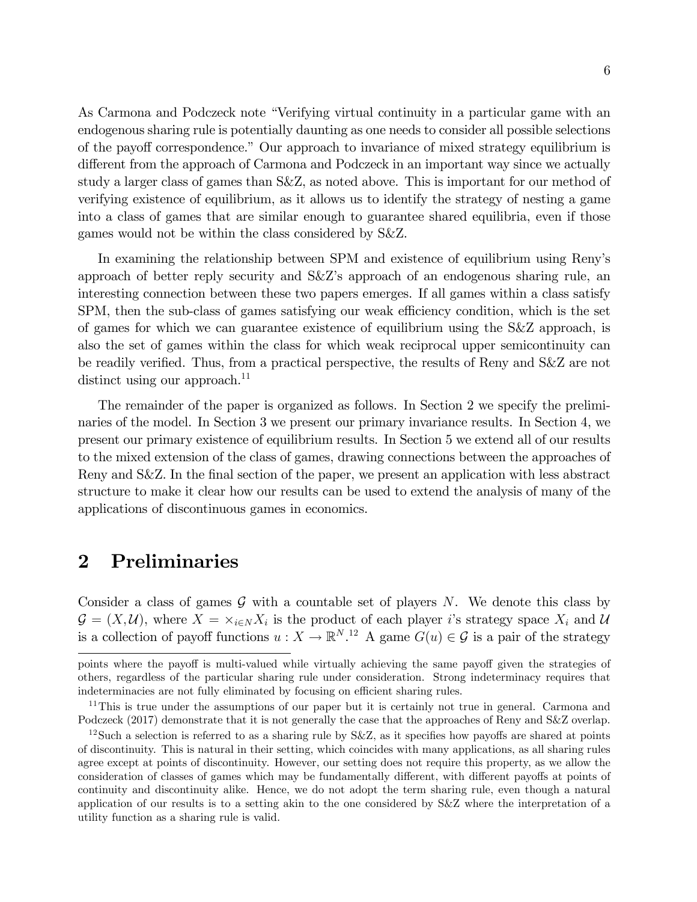As Carmona and Podczeck note "Verifying virtual continuity in a particular game with an endogenous sharing rule is potentially daunting as one needs to consider all possible selections of the payoff correspondence." Our approach to invariance of mixed strategy equilibrium is different from the approach of Carmona and Podczeck in an important way since we actually study a larger class of games than S&Z, as noted above. This is important for our method of verifying existence of equilibrium, as it allows us to identify the strategy of nesting a game into a class of games that are similar enough to guarantee shared equilibria, even if those games would not be within the class considered by S&Z.

In examining the relationship between SPM and existence of equilibrium using Renyís approach of better reply security and S&Zís approach of an endogenous sharing rule, an interesting connection between these two papers emerges. If all games within a class satisfy SPM, then the sub-class of games satisfying our weak efficiency condition, which is the set of games for which we can guarantee existence of equilibrium using the S&Z approach, is also the set of games within the class for which weak reciprocal upper semicontinuity can be readily verified. Thus, from a practical perspective, the results of Reny and S&Z are not distinct using our approach.<sup>11</sup>

The remainder of the paper is organized as follows. In Section 2 we specify the preliminaries of the model. In Section 3 we present our primary invariance results. In Section 4, we present our primary existence of equilibrium results. In Section 5 we extend all of our results to the mixed extension of the class of games, drawing connections between the approaches of Reny and S&Z. In the final section of the paper, we present an application with less abstract structure to make it clear how our results can be used to extend the analysis of many of the applications of discontinuous games in economics.

## 2 Preliminaries

Consider a class of games  $\mathcal G$  with a countable set of players N. We denote this class by  $\mathcal{G} = (X, \mathcal{U})$ , where  $X = \times_{i \in N} X_i$  is the product of each player is strategy space  $X_i$  and  $\mathcal{U}$ is a collection of payoff functions  $u: X \to \mathbb{R}^{N}$ .<sup>12</sup> A game  $G(u) \in \mathcal{G}$  is a pair of the strategy

points where the payoff is multi-valued while virtually achieving the same payoff given the strategies of others, regardless of the particular sharing rule under consideration. Strong indeterminacy requires that indeterminacies are not fully eliminated by focusing on efficient sharing rules.

<sup>&</sup>lt;sup>11</sup>This is true under the assumptions of our paper but it is certainly not true in general. Carmona and Podczeck (2017) demonstrate that it is not generally the case that the approaches of Reny and S&Z overlap.

<sup>&</sup>lt;sup>12</sup>Such a selection is referred to as a sharing rule by  $S\&Z$ , as it specifies how payoffs are shared at points of discontinuity. This is natural in their setting, which coincides with many applications, as all sharing rules agree except at points of discontinuity. However, our setting does not require this property, as we allow the consideration of classes of games which may be fundamentally different, with different payoffs at points of continuity and discontinuity alike. Hence, we do not adopt the term sharing rule, even though a natural application of our results is to a setting akin to the one considered by S&Z where the interpretation of a utility function as a sharing rule is valid.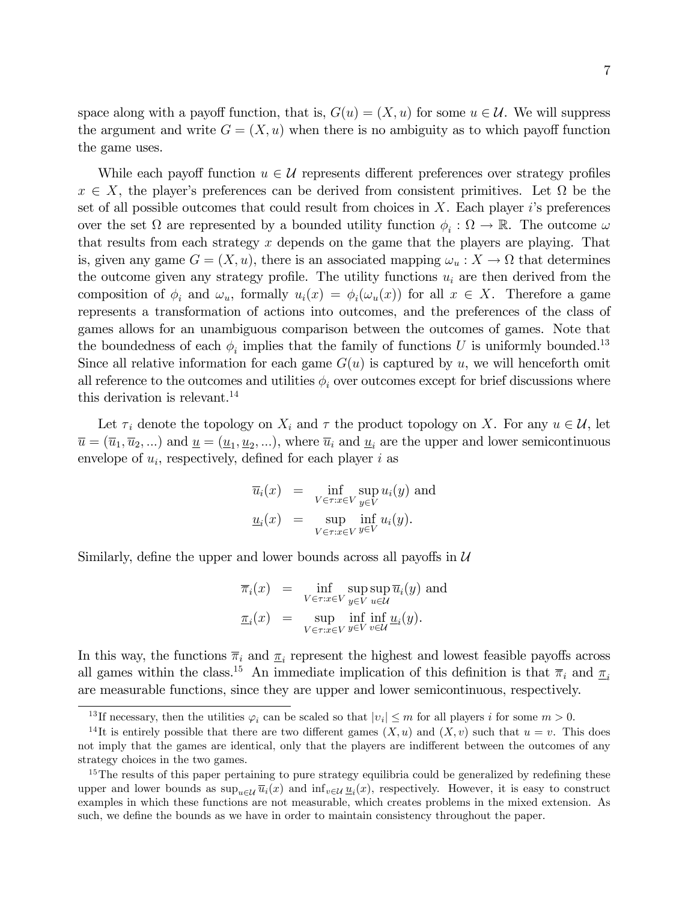space along with a payoff function, that is,  $G(u) = (X, u)$  for some  $u \in \mathcal{U}$ . We will suppress the argument and write  $G = (X, u)$  when there is no ambiguity as to which payoff function the game uses.

While each payoff function  $u \in \mathcal{U}$  represents different preferences over strategy profiles  $x \in X$ , the player's preferences can be derived from consistent primitives. Let  $\Omega$  be the set of all possible outcomes that could result from choices in  $X$ . Each player is preferences over the set  $\Omega$  are represented by a bounded utility function  $\phi_i : \Omega \to \mathbb{R}$ . The outcome  $\omega$ that results from each strategy  $x$  depends on the game that the players are playing. That is, given any game  $G = (X, u)$ , there is an associated mapping  $\omega_u : X \to \Omega$  that determines the outcome given any strategy profile. The utility functions  $u_i$  are then derived from the composition of  $\phi_i$  and  $\omega_u$ , formally  $u_i(x) = \phi_i(\omega_u(x))$  for all  $x \in X$ . Therefore a game represents a transformation of actions into outcomes, and the preferences of the class of games allows for an unambiguous comparison between the outcomes of games. Note that the boundedness of each  $\phi_i$  implies that the family of functions U is uniformly bounded.<sup>13</sup> Since all relative information for each game  $G(u)$  is captured by u, we will henceforth omit all reference to the outcomes and utilities  $\phi_i$  over outcomes except for brief discussions where this derivation is relevant.<sup>14</sup>

Let  $\tau_i$  denote the topology on  $X_i$  and  $\tau$  the product topology on X. For any  $u \in \mathcal{U}$ , let  $\overline{u} = (\overline{u}_1, \overline{u}_2, \ldots)$  and  $\underline{u} = (\underline{u}_1, \underline{u}_2, \ldots)$ , where  $\overline{u}_i$  and  $\underline{u}_i$  are the upper and lower semicontinuous envelope of  $u_i$ , respectively, defined for each player i as

$$
\overline{u}_i(x) = \inf_{V \in \tau : x \in V} \sup_{y \in V} u_i(y) \text{ and}
$$
  

$$
\underline{u}_i(x) = \sup_{V \in \tau : x \in V} \inf_{y \in V} u_i(y).
$$

Similarly, define the upper and lower bounds across all payoffs in  $U$ 

$$
\overline{\pi}_i(x) = \inf_{V \in \tau : x \in V} \sup_{y \in V} \sup_{u \in \mathcal{U}} \overline{u}_i(y) \text{ and}
$$

$$
\underline{\pi}_i(x) = \sup_{V \in \tau : x \in V} \inf_{y \in V} \inf_{v \in \mathcal{U}} \underline{u}_i(y).
$$

In this way, the functions  $\overline{\pi}_i$  and  $\underline{\pi}_i$  represent the highest and lowest feasible payoffs across all games within the class.<sup>15</sup> An immediate implication of this definition is that  $\bar{\pi}_i$  and  $\underline{\pi}_i$ are measurable functions, since they are upper and lower semicontinuous, respectively.

<sup>&</sup>lt;sup>13</sup>If necessary, then the utilities  $\varphi_i$  can be scaled so that  $|v_i| \leq m$  for all players i for some  $m > 0$ .

<sup>&</sup>lt;sup>14</sup>It is entirely possible that there are two different games  $(X, u)$  and  $(X, v)$  such that  $u = v$ . This does not imply that the games are identical, only that the players are indifferent between the outcomes of any strategy choices in the two games.

 $15$ The results of this paper pertaining to pure strategy equilibria could be generalized by redefining these upper and lower bounds as  $\sup_{u \in \mathcal{U}} \overline{u}_i(x)$  and  $\inf_{v \in \mathcal{U}} \underline{u}_i(x)$ , respectively. However, it is easy to construct examples in which these functions are not measurable, which creates problems in the mixed extension. As such, we define the bounds as we have in order to maintain consistency throughout the paper.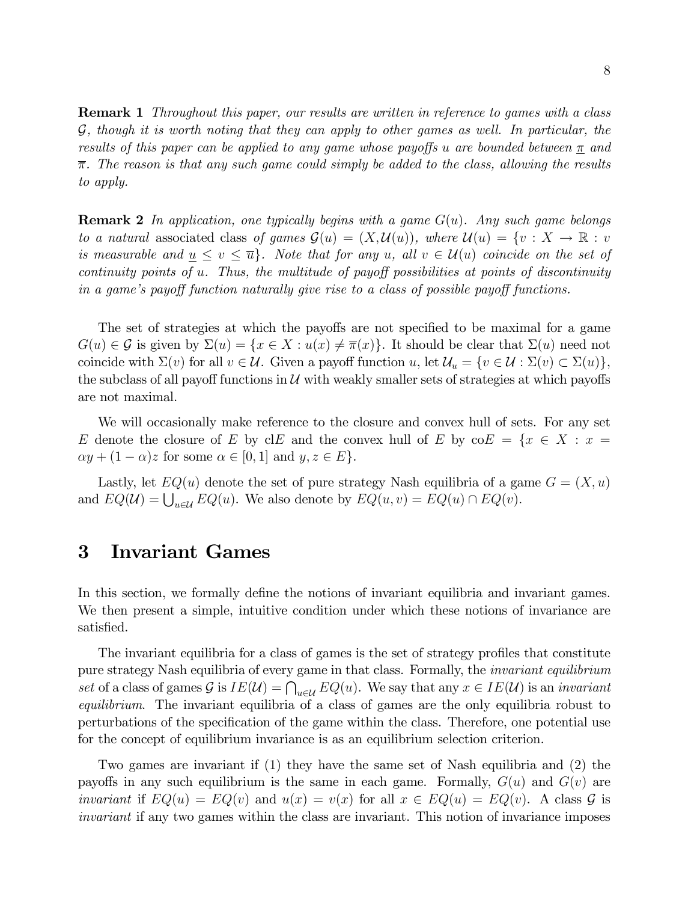**Remark 1** Throughout this paper, our results are written in reference to games with a class  $G$ , though it is worth noting that they can apply to other games as well. In particular, the results of this paper can be applied to any game whose payoffs u are bounded between  $\pi$  and  $\overline{\pi}$ . The reason is that any such game could simply be added to the class, allowing the results to apply.

**Remark 2** In application, one typically begins with a game  $G(u)$ . Any such game belongs to a natural associated class of games  $\mathcal{G}(u) = (X, \mathcal{U}(u))$ , where  $\mathcal{U}(u) = \{v : X \to \mathbb{R} : v \}$ is measurable and  $u \le v \le \overline{u}$ . Note that for any u, all  $v \in \mathcal{U}(u)$  coincide on the set of continuity points of  $u$ . Thus, the multitude of payoff possibilities at points of discontinuity in a game's payoff function naturally give rise to a class of possible payoff functions.

The set of strategies at which the payoffs are not specified to be maximal for a game  $G(u) \in \mathcal{G}$  is given by  $\Sigma(u) = \{x \in X : u(x) \neq \overline{\pi}(x)\}\.$  It should be clear that  $\Sigma(u)$  need not coincide with  $\Sigma(v)$  for all  $v \in \mathcal{U}$ . Given a payoff function u, let  $\mathcal{U}_u = \{v \in \mathcal{U} : \Sigma(v) \subset \Sigma(u)\},\$ the subclass of all payoff functions in  $U$  with weakly smaller sets of strategies at which payoffs are not maximal.

We will occasionally make reference to the closure and convex hull of sets. For any set E denote the closure of E by clE and the convex hull of E by  $\operatorname{coE} = \{x \in X : x =$  $\alpha y + (1 - \alpha)z$  for some  $\alpha \in [0, 1]$  and  $y, z \in E$ .

Lastly, let  $EQ(u)$  denote the set of pure strategy Nash equilibria of a game  $G = (X, u)$ and  $EQ(\mathcal{U}) = \bigcup_{u \in \mathcal{U}} EQ(u)$ . We also denote by  $EQ(u, v) = EQ(u) \cap EQ(v)$ .

## 3 Invariant Games

In this section, we formally define the notions of invariant equilibria and invariant games. We then present a simple, intuitive condition under which these notions of invariance are satisfied.

The invariant equilibria for a class of games is the set of strategy profiles that constitute pure strategy Nash equilibria of every game in that class. Formally, the invariant equilibrium set of a class of games  $\mathcal G$  is  $IE(\mathcal U) = \bigcap_{u \in \mathcal U} EQ(u)$ . We say that any  $x \in IE(\mathcal U)$  is an invariant equilibrium. The invariant equilibria of a class of games are the only equilibria robust to perturbations of the specification of the game within the class. Therefore, one potential use for the concept of equilibrium invariance is as an equilibrium selection criterion.

Two games are invariant if (1) they have the same set of Nash equilibria and (2) the payoffs in any such equilibrium is the same in each game. Formally,  $G(u)$  and  $G(v)$  are *invariant* if  $EQ(u) = EQ(v)$  and  $u(x) = v(x)$  for all  $x \in EQ(u) = EQ(v)$ . A class  $\mathcal G$  is invariant if any two games within the class are invariant. This notion of invariance imposes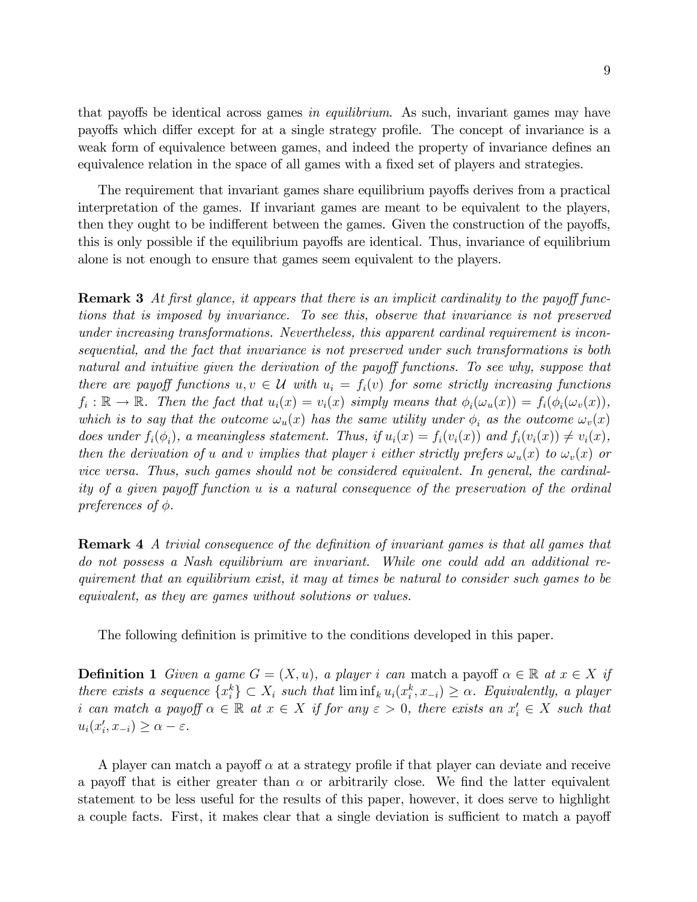that payoffs be identical across games in equilibrium. As such, invariant games may have payoffs which differ except for at a single strategy profile. The concept of invariance is a weak form of equivalence between games, and indeed the property of invariance defines an equivalence relation in the space of all games with a fixed set of players and strategies.

The requirement that invariant games share equilibrium payoffs derives from a practical interpretation of the games. If invariant games are meant to be equivalent to the players, then they ought to be indifferent between the games. Given the construction of the payoffs, this is only possible if the equilibrium payoffs are identical. Thus, invariance of equilibrium alone is not enough to ensure that games seem equivalent to the players.

**Remark 3** At first glance, it appears that there is an implicit cardinality to the payoff functions that is imposed by invariance. To see this, observe that invariance is not preserved under increasing transformations. Nevertheless, this apparent cardinal requirement is inconsequential, and the fact that invariance is not preserved under such transformations is both natural and intuitive given the derivation of the payoff functions. To see why, suppose that there are payoff functions  $u, v \in U$  with  $u_i = f_i(v)$  for some strictly increasing functions  $f_i: \mathbb{R} \to \mathbb{R}$ . Then the fact that  $u_i(x) = v_i(x)$  simply means that  $\phi_i(\omega_u(x)) = f_i(\phi_i(\omega_v(x)))$ , which is to say that the outcome  $\omega_u(x)$  has the same utility under  $\phi_i$  as the outcome  $\omega_v(x)$ does under  $f_i(\phi_i)$ , a meaningless statement. Thus, if  $u_i(x) = f_i(v_i(x))$  and  $f_i(v_i(x)) \neq v_i(x)$ , then the derivation of u and v implies that player i either strictly prefers  $\omega_u(x)$  to  $\omega_v(x)$  or vice versa. Thus, such games should not be considered equivalent. In general, the cardinality of a given payoff function u is a natural consequence of the preservation of the ordinal preferences of  $\phi$ .

**Remark 4** A trivial consequence of the definition of invariant games is that all games that do not possess a Nash equilibrium are invariant. While one could add an additional requirement that an equilibrium exist, it may at times be natural to consider such games to be equivalent, as they are games without solutions or values.

The following definition is primitive to the conditions developed in this paper.

**Definition 1** Given a game  $G = (X, u)$ , a player i can match a payoff  $\alpha \in \mathbb{R}$  at  $x \in X$  if there exists a sequence  $\{x_i^k\} \subset X_i$  such that  $\liminf_k u_i(x_i^k, x_{-i}) \geq \alpha$ . Equivalently, a player i can match a payoff  $\alpha \in \mathbb{R}$  at  $x \in X$  if for any  $\varepsilon > 0$ , there exists an  $x'_i \in X$  such that  $u_i(x'_i, x_{-i}) \geq \alpha - \varepsilon.$ 

A player can match a payoff  $\alpha$  at a strategy profile if that player can deviate and receive a payoff that is either greater than  $\alpha$  or arbitrarily close. We find the latter equivalent statement to be less useful for the results of this paper, however, it does serve to highlight a couple facts. First, it makes clear that a single deviation is sufficient to match a payoff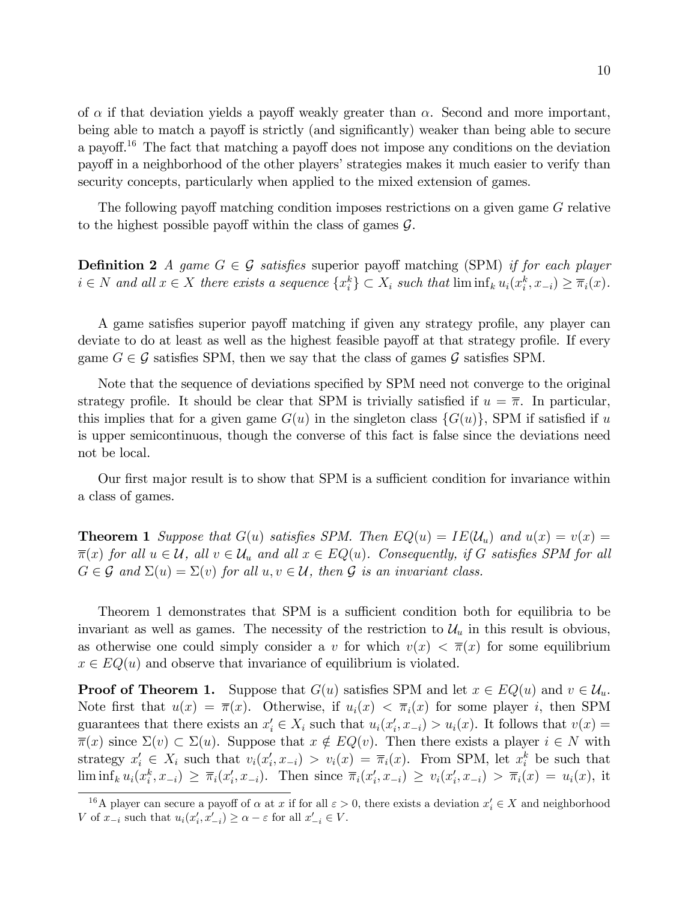of  $\alpha$  if that deviation yields a payoff weakly greater than  $\alpha$ . Second and more important, being able to match a payoff is strictly (and significantly) weaker than being able to secure a payoff.<sup>16</sup> The fact that matching a payoff does not impose any conditions on the deviation payoff in a neighborhood of the other players' strategies makes it much easier to verify than security concepts, particularly when applied to the mixed extension of games.

The following payoff matching condition imposes restrictions on a given game G relative to the highest possible payoff within the class of games  $\mathcal{G}$ .

**Definition 2** A game  $G \in \mathcal{G}$  satisfies superior payoff matching (SPM) if for each player  $i \in N$  and all  $x \in X$  there exists a sequence  $\{x_i^k\} \subset X_i$  such that  $\liminf_k u_i(x_i^k, x_{-i}) \geq \overline{\pi}_i(x)$ .

A game satisfies superior payoff matching if given any strategy profile, any player can deviate to do at least as well as the highest feasible payoff at that strategy profile. If every game  $G \in \mathcal{G}$  satisfies SPM, then we say that the class of games  $\mathcal{G}$  satisfies SPM.

Note that the sequence of deviations specified by SPM need not converge to the original strategy profile. It should be clear that SPM is trivially satisfied if  $u = \overline{\pi}$ . In particular, this implies that for a given game  $G(u)$  in the singleton class  $\{G(u)\}\$ , SPM if satisfied if u is upper semicontinuous, though the converse of this fact is false since the deviations need not be local.

Our first major result is to show that SPM is a sufficient condition for invariance within a class of games.

**Theorem 1** Suppose that  $G(u)$  satisfies SPM. Then  $EQ(u) = IE(\mathcal{U}_u)$  and  $u(x) = v(x) =$  $\overline{\pi}(x)$  for all  $u \in \mathcal{U}$ , all  $v \in \mathcal{U}_u$  and all  $x \in EQ(u)$ . Consequently, if G satisfies SPM for all  $G \in \mathcal{G}$  and  $\Sigma(u) = \Sigma(v)$  for all  $u, v \in \mathcal{U}$ , then  $\mathcal{G}$  is an invariant class.

Theorem 1 demonstrates that SPM is a sufficient condition both for equilibria to be invariant as well as games. The necessity of the restriction to  $\mathcal{U}_u$  in this result is obvious, as otherwise one could simply consider a v for which  $v(x) < \overline{\pi}(x)$  for some equilibrium  $x \in EQ(u)$  and observe that invariance of equilibrium is violated.

**Proof of Theorem 1.** Suppose that  $G(u)$  satisfies SPM and let  $x \in EQ(u)$  and  $v \in \mathcal{U}_u$ . Note first that  $u(x) = \overline{\pi}(x)$ . Otherwise, if  $u_i(x) < \overline{\pi}_i(x)$  for some player i, then SPM guarantees that there exists an  $x'_i \in X_i$  such that  $u_i(x'_i, x_{-i}) > u_i(x)$ . It follows that  $v(x) =$  $\overline{\pi}(x)$  since  $\Sigma(v) \subset \Sigma(u)$ . Suppose that  $x \notin EQ(v)$ . Then there exists a player  $i \in N$  with strategy  $x'_i \in X_i$  such that  $v_i(x'_i, x_{-i}) > v_i(x) = \overline{\pi}_i(x)$ . From SPM, let  $x_i^k$  be such that  $\liminf_k u_i(x_i^k, x_{-i}) \geq \overline{\pi}_i(x_i', x_{-i}).$  Then since  $\overline{\pi}_i(x_i', x_{-i}) \geq v_i(x_i', x_{-i}) > \overline{\pi}_i(x) = u_i(x),$  it

<sup>&</sup>lt;sup>16</sup>A player can secure a payoff of  $\alpha$  at x if for all  $\varepsilon > 0$ , there exists a deviation  $x'_{i} \in X$  and neighborhood V of  $x_{-i}$  such that  $u_i(x'_i, x'_{-i}) \geq \alpha - \varepsilon$  for all  $x'_{-i} \in V$ .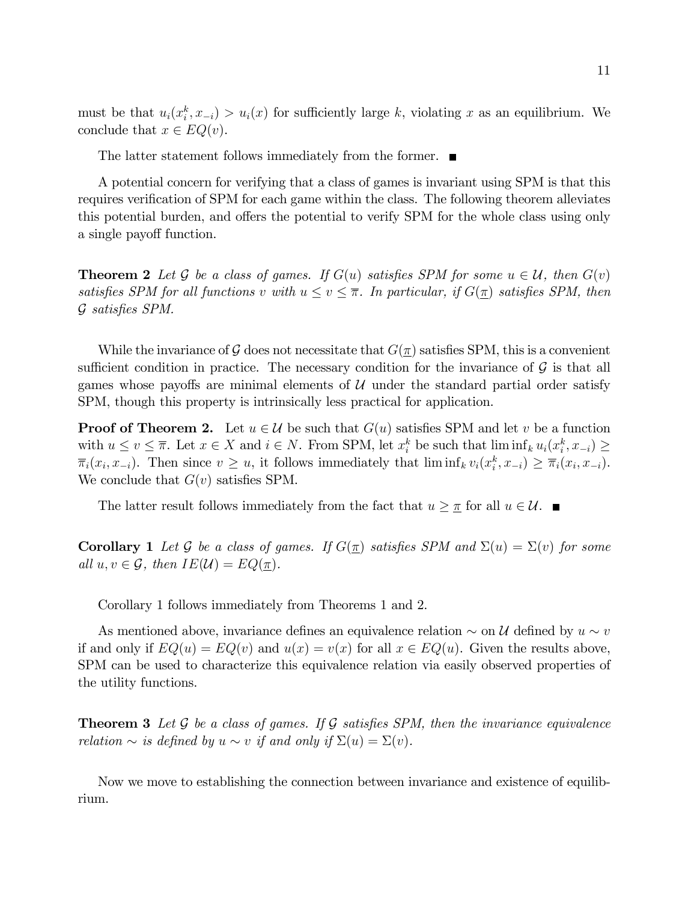must be that  $u_i(x_i^k, x_{-i}) > u_i(x)$  for sufficiently large k, violating x as an equilibrium. We conclude that  $x \in EQ(v)$ .

The latter statement follows immediately from the former.  $\blacksquare$ 

A potential concern for verifying that a class of games is invariant using SPM is that this requires verification of SPM for each game within the class. The following theorem alleviates this potential burden, and offers the potential to verify SPM for the whole class using only a single payoff function.

**Theorem 2** Let G be a class of games. If  $G(u)$  satisfies SPM for some  $u \in U$ , then  $G(v)$ satisfies SPM for all functions v with  $u \le v \le \overline{\pi}$ . In particular, if  $G(\underline{\pi})$  satisfies SPM, then  $G$  satisfies SPM.

While the invariance of G does not necessitate that  $G(\pi)$  satisfies SPM, this is a convenient sufficient condition in practice. The necessary condition for the invariance of  $\mathcal G$  is that all games whose payoffs are minimal elements of  $U$  under the standard partial order satisfy SPM, though this property is intrinsically less practical for application.

**Proof of Theorem 2.** Let  $u \in \mathcal{U}$  be such that  $G(u)$  satisfies SPM and let v be a function with  $u \le v \le \overline{\pi}$ . Let  $x \in X$  and  $i \in N$ . From SPM, let  $x_i^k$  be such that  $\liminf_k u_i(x_i^k, x_{-i}) \ge$  $\overline{\pi}_i(x_i, x_{-i})$ . Then since  $v \geq u$ , it follows immediately that  $\liminf_k v_i(x_i^k, x_{-i}) \geq \overline{\pi}_i(x_i, x_{-i})$ . We conclude that  $G(v)$  satisfies SPM.

The latter result follows immediately from the fact that  $u \geq \pi$  for all  $u \in \mathcal{U}$ .

**Corollary 1** Let G be a class of games. If  $G(\underline{\pi})$  satisfies SPM and  $\Sigma(u) = \Sigma(v)$  for some all  $u, v \in \mathcal{G}$ , then  $IE(\mathcal{U}) = EQ(\pi)$ .

Corollary 1 follows immediately from Theorems 1 and 2.

As mentioned above, invariance defines an equivalence relation  $\sim$  on U defined by  $u \sim v$ if and only if  $EQ(u) = EQ(v)$  and  $u(x) = v(x)$  for all  $x \in EQ(u)$ . Given the results above, SPM can be used to characterize this equivalence relation via easily observed properties of the utility functions.

**Theorem 3** Let  $G$  be a class of games. If  $G$  satisfies SPM, then the invariance equivalence relation  $\sim$  is defined by  $u \sim v$  if and only if  $\Sigma(u) = \Sigma(v)$ .

Now we move to establishing the connection between invariance and existence of equilibrium.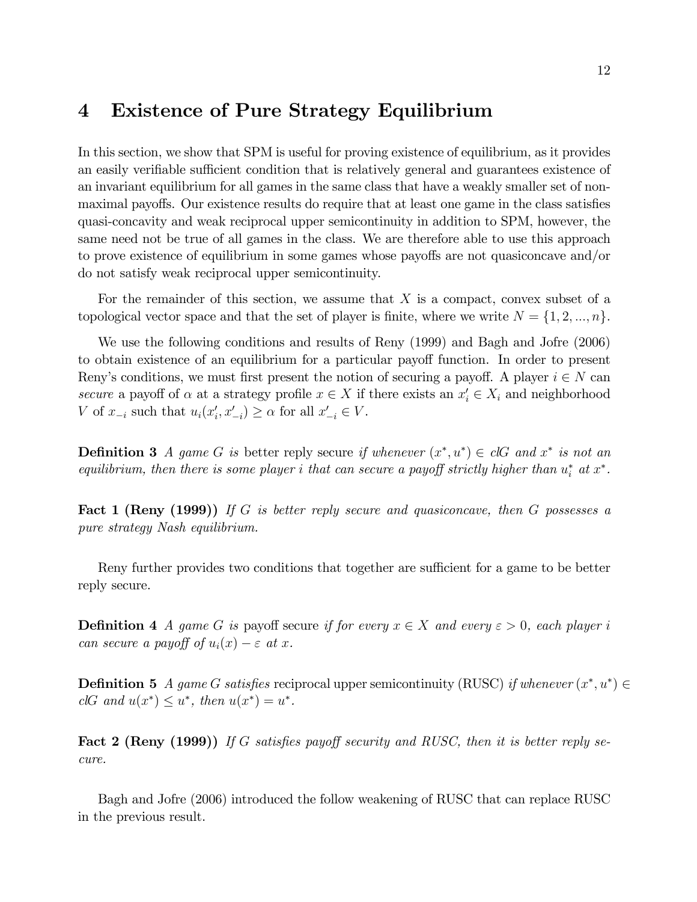## 4 Existence of Pure Strategy Equilibrium

In this section, we show that SPM is useful for proving existence of equilibrium, as it provides an easily verifiable sufficient condition that is relatively general and guarantees existence of an invariant equilibrium for all games in the same class that have a weakly smaller set of nonmaximal payoffs. Our existence results do require that at least one game in the class satisfies quasi-concavity and weak reciprocal upper semicontinuity in addition to SPM, however, the same need not be true of all games in the class. We are therefore able to use this approach to prove existence of equilibrium in some games whose payoffs are not quasiconcave and/or do not satisfy weak reciprocal upper semicontinuity.

For the remainder of this section, we assume that  $X$  is a compact, convex subset of a topological vector space and that the set of player is finite, where we write  $N = \{1, 2, ..., n\}$ .

We use the following conditions and results of Reny (1999) and Bagh and Jofre (2006) to obtain existence of an equilibrium for a particular payoff function. In order to present Reny's conditions, we must first present the notion of securing a payoff. A player  $i \in N$  can secure a payoff of  $\alpha$  at a strategy profile  $x \in X$  if there exists an  $x'_{i} \in X_{i}$  and neighborhood V of  $x_{-i}$  such that  $u_i(x'_i, x'_{-i}) \ge \alpha$  for all  $x'_{-i} \in V$ .

**Definition 3** A game G is better reply secure if whenever  $(x^*, u^*) \in clG$  and  $x^*$  is not an equilibrium, then there is some player i that can secure a payoff strictly higher than  $u_i^*$  at  $x^*$ .

**Fact 1 (Reny (1999))** If G is better reply secure and quasiconcave, then G possesses a pure strategy Nash equilibrium.

Reny further provides two conditions that together are sufficient for a game to be better reply secure.

**Definition 4** A game G is payoff secure if for every  $x \in X$  and every  $\varepsilon > 0$ , each player i can secure a payoff of  $u_i(x) - \varepsilon$  at x.

**Definition 5** A game G satisfies reciprocal upper semicontinuity (RUSC) if whenever  $(x^*, u^*) \in$ clG and  $u(x^*) \leq u^*$ , then  $u(x^*) = u^*$ .

Fact 2 (Reny (1999)) If G satisfies payoff security and RUSC, then it is better reply secure.

Bagh and Jofre (2006) introduced the follow weakening of RUSC that can replace RUSC in the previous result.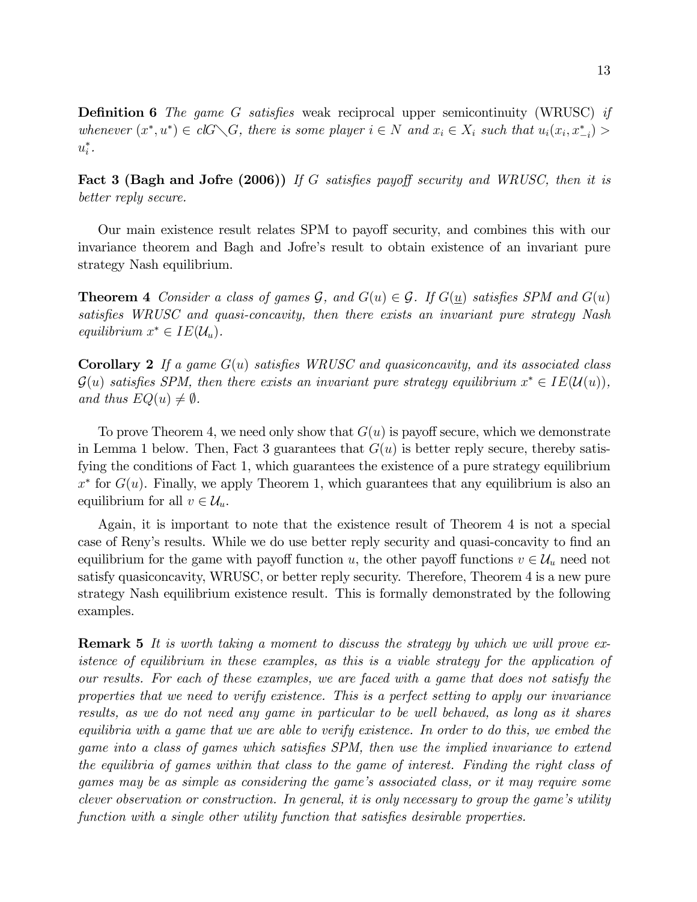**Definition 6** The game G satisfies weak reciprocal upper semicontinuity (WRUSC) if whenever  $(x^*, u^*) \in clG \setminus G$ , there is some player  $i \in N$  and  $x_i \in X_i$  such that  $u_i(x_i, x_{-i}^*) >$  $u_i^*$ .

**Fact 3 (Bagh and Jofre (2006))** If G satisfies payoff security and WRUSC, then it is better reply secure.

Our main existence result relates SPM to payoff security, and combines this with our invariance theorem and Bagh and Jofre's result to obtain existence of an invariant pure strategy Nash equilibrium.

**Theorem 4** Consider a class of games  $\mathcal{G}$ , and  $G(u) \in \mathcal{G}$ . If  $G(u)$  satisfies SPM and  $G(u)$ satisfies WRUSC and quasi-concavity, then there exists an invariant pure strategy Nash equilibrium  $x^* \in IE(\mathcal{U}_u)$ .

**Corollary 2** If a game  $G(u)$  satisfies WRUSC and quasiconcavity, and its associated class  $\mathcal{G}(u)$  satisfies SPM, then there exists an invariant pure strategy equilibrium  $x^* \in IE(\mathcal{U}(u)),$ and thus  $EQ(u) \neq \emptyset$ .

To prove Theorem 4, we need only show that  $G(u)$  is payoff secure, which we demonstrate in Lemma 1 below. Then, Fact 3 guarantees that  $G(u)$  is better reply secure, thereby satisfying the conditions of Fact 1, which guarantees the existence of a pure strategy equilibrium  $x^*$  for  $G(u)$ . Finally, we apply Theorem 1, which guarantees that any equilibrium is also an equilibrium for all  $v \in \mathcal{U}_u$ .

Again, it is important to note that the existence result of Theorem 4 is not a special case of Reny's results. While we do use better reply security and quasi-concavity to find an equilibrium for the game with payoff function u, the other payoff functions  $v \in \mathcal{U}_u$  need not satisfy quasiconcavity, WRUSC, or better reply security. Therefore, Theorem 4 is a new pure strategy Nash equilibrium existence result. This is formally demonstrated by the following examples.

**Remark 5** It is worth taking a moment to discuss the strategy by which we will prove existence of equilibrium in these examples, as this is a viable strategy for the application of our results. For each of these examples, we are faced with a game that does not satisfy the properties that we need to verify existence. This is a perfect setting to apply our invariance results, as we do not need any game in particular to be well behaved, as long as it shares equilibria with a game that we are able to verify existence. In order to do this, we embed the game into a class of games which satisfies SPM, then use the implied invariance to extend the equilibria of games within that class to the game of interest. Finding the right class of games may be as simple as considering the game's associated class, or it may require some clever observation or construction. In general, it is only necessary to group the game's utility function with a single other utility function that satisfies desirable properties.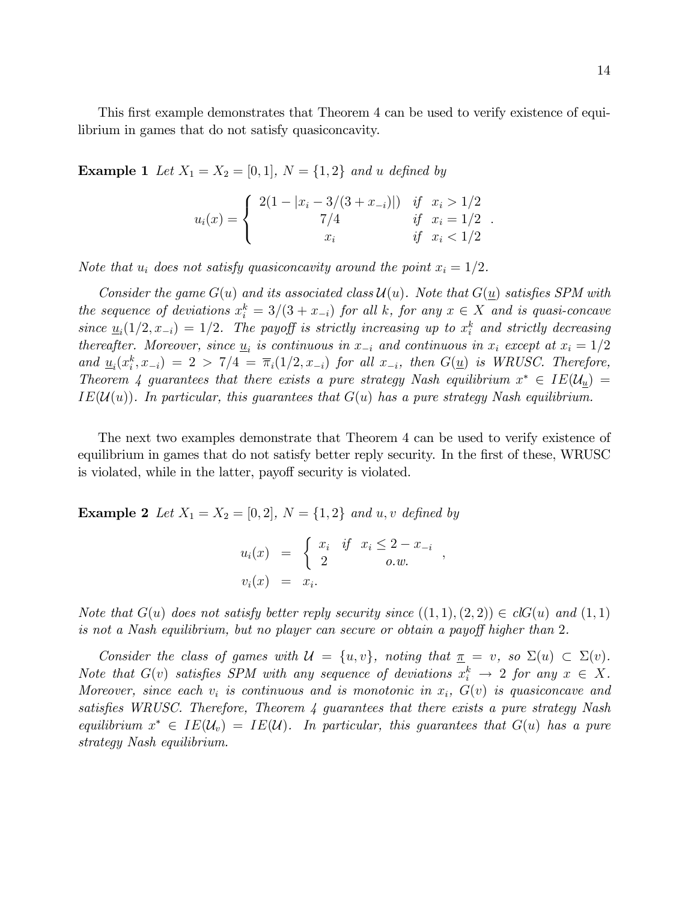:

This first example demonstrates that Theorem 4 can be used to verify existence of equilibrium in games that do not satisfy quasiconcavity.

**Example 1** Let  $X_1 = X_2 = [0, 1], N = \{1, 2\}$  and u defined by

$$
u_i(x) = \begin{cases} 2(1 - |x_i - 3/(3 + x_{-i})|) & \text{if } x_i > 1/2 \\ 7/4 & \text{if } x_i = 1/2 \\ x_i & \text{if } x_i < 1/2 \end{cases}
$$

Note that  $u_i$  does not satisfy quasiconcavity around the point  $x_i = 1/2$ .

Consider the game  $G(u)$  and its associated class  $\mathcal{U}(u)$ . Note that  $G(u)$  satisfies SPM with the sequence of deviations  $x_i^k = 3/(3 + x_{-i})$  for all k, for any  $x \in X$  and is quasi-concave since  $\underline{u}_i(1/2, x_{-i}) = 1/2$ . The payoff is strictly increasing up to  $x_i^k$  and strictly decreasing thereafter. Moreover, since  $\underline{u}_i$  is continuous in  $x_{-i}$  and continuous in  $x_i$  except at  $x_i = 1/2$ and  $\underline{u}_i(x_i^k, x_{-i}) = 2 > 7/4 = \overline{\pi}_i(1/2, x_{-i})$  for all  $x_{-i}$ , then  $G(\underline{u})$  is WRUSC. Therefore, Theorem 4 guarantees that there exists a pure strategy Nash equilibrium  $x^* \in IE(\mathcal{U}_{\underline{u}})$  =  $IE(\mathcal{U}(u))$ . In particular, this guarantees that  $G(u)$  has a pure strategy Nash equilibrium.

The next two examples demonstrate that Theorem 4 can be used to verify existence of equilibrium in games that do not satisfy better reply security. In the first of these, WRUSC is violated, while in the latter, payoff security is violated.

**Example 2** Let  $X_1 = X_2 = [0, 2]$ ,  $N = \{1, 2\}$  and u, v defined by

$$
u_i(x) = \begin{cases} x_i & \text{if } x_i \leq 2 - x_{-i} \\ 2 & \text{o.w.} \end{cases},
$$
  

$$
v_i(x) = x_i.
$$

Note that  $G(u)$  does not satisfy better reply security since  $((1,1),(2,2)) \in clG(u)$  and  $(1,1)$ is not a Nash equilibrium, but no player can secure or obtain a payoff higher than 2.

Consider the class of games with  $\mathcal{U} = \{u, v\}$ , noting that  $\underline{\pi} = v$ , so  $\Sigma(u) \subset \Sigma(v)$ . Note that  $G(v)$  satisfies SPM with any sequence of deviations  $x_i^k \to 2$  for any  $x \in X$ . Moreover, since each  $v_i$  is continuous and is monotonic in  $x_i$ ,  $G(v)$  is quasiconcave and satisfies WRUSC. Therefore, Theorem  $\lambda$  guarantees that there exists a pure strategy Nash equilibrium  $x^* \in IE(\mathcal{U}_v) = IE(\mathcal{U})$ . In particular, this guarantees that  $G(u)$  has a pure strategy Nash equilibrium.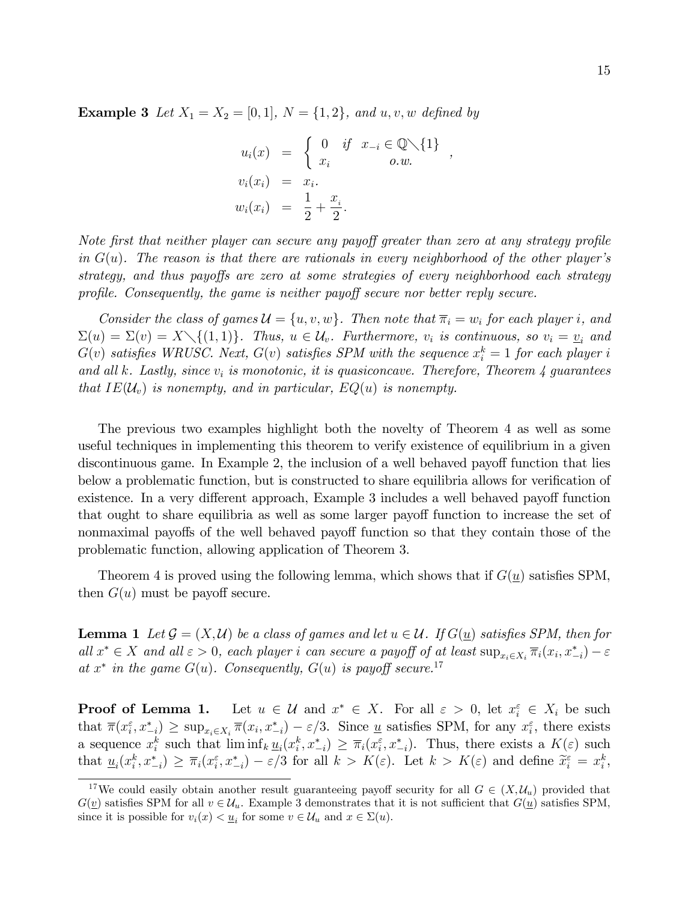**Example 3** Let  $X_1 = X_2 = [0,1], N = \{1,2\}, and u, v, w$  defined by

$$
u_i(x) = \begin{cases} 0 & \text{if } x_{-i} \in \mathbb{Q} \setminus \{1\} \\ x_i & o.w. \end{cases}
$$
  

$$
v_i(x_i) = x_i.
$$
  

$$
w_i(x_i) = \frac{1}{2} + \frac{x_i}{2}.
$$

Note first that neither player can secure any payoff greater than zero at any strategy profile in  $G(u)$ . The reason is that there are rationals in every neighborhood of the other player's strategy, and thus payoffs are zero at some strategies of every neighborhood each strategy profile. Consequently, the game is neither payoff secure nor better reply secure.

Consider the class of games  $\mathcal{U} = \{u, v, w\}$ . Then note that  $\overline{\pi}_i = w_i$  for each player i, and  $\Sigma(u) = \Sigma(v) = X \setminus \{(1,1)\}\$ . Thus,  $u \in \mathcal{U}_v$ . Furthermore,  $v_i$  is continuous, so  $v_i = \underline{v}_i$  and  $G(v)$  satisfies WRUSC. Next,  $G(v)$  satisfies SPM with the sequence  $x_i^k = 1$  for each player i and all k. Lastly, since  $v_i$  is monotonic, it is quasiconcave. Therefore, Theorem 4 guarantees that  $IE(\mathcal{U}_v)$  is nonempty, and in particular,  $EQ(u)$  is nonempty.

The previous two examples highlight both the novelty of Theorem 4 as well as some useful techniques in implementing this theorem to verify existence of equilibrium in a given discontinuous game. In Example 2, the inclusion of a well behaved payoff function that lies below a problematic function, but is constructed to share equilibria allows for verification of existence. In a very different approach, Example 3 includes a well behaved payoff function that ought to share equilibria as well as some larger payoff function to increase the set of nonmaximal payoffs of the well behaved payoff function so that they contain those of the problematic function, allowing application of Theorem 3.

Theorem 4 is proved using the following lemma, which shows that if  $G(u)$  satisfies SPM, then  $G(u)$  must be payoff secure.

**Lemma 1** Let  $\mathcal{G} = (X, \mathcal{U})$  be a class of games and let  $u \in \mathcal{U}$ . If  $G(u)$  satisfies SPM, then for all  $x^* \in X$  and all  $\varepsilon > 0$ , each player i can secure a payoff of at least  $\sup_{x_i \in X_i} \overline{\pi}_i(x_i, x_{-i}^*) - \varepsilon$ at  $x^*$  in the game  $G(u)$ . Consequently,  $G(u)$  is payoff secure.<sup>17</sup>

Proof of Lemma 1. Let  $u \in \mathcal{U}$  and  $x^* \in X$ . For all  $\varepsilon > 0$ , let  $x_i^{\varepsilon} \in X_i$  be such that  $\overline{\pi}(x_i^{\varepsilon}, x_{-i}^*) \geq \sup_{x_i \in X_i} \overline{\pi}(x_i, x_{-i}^*) - \varepsilon/3$ . Since <u>u</u> satisfies SPM, for any  $x_i^{\varepsilon}$ , there exists a sequence  $x_i^k$  such that  $\liminf_k \underline{u}_i(x_i^k, x_{-i}^*) \geq \overline{\pi}_i(x_i^{\varepsilon}, x_{-i}^*)$ . Thus, there exists a  $K(\varepsilon)$  such that  $\underline{u}_i(x_i^k, x_{-i}^*) \geq \overline{\pi}_i(x_i^{\varepsilon}, x_{-i}^*) - \varepsilon/3$  for all  $k > K(\varepsilon)$ . Let  $k > K(\varepsilon)$  and define  $\widetilde{x}_i^{\varepsilon} = x_i^k$ ,

<sup>&</sup>lt;sup>17</sup>We could easily obtain another result guaranteeing payoff security for all  $G \in (X, \mathcal{U}_u)$  provided that  $G(\underline{v})$  satisfies SPM for all  $v \in \mathcal{U}_u$ . Example 3 demonstrates that it is not sufficient that  $G(\underline{u})$  satisfies SPM, since it is possible for  $v_i(x) < \underline{u}_i$  for some  $v \in \mathcal{U}_u$  and  $x \in \Sigma(u)$ .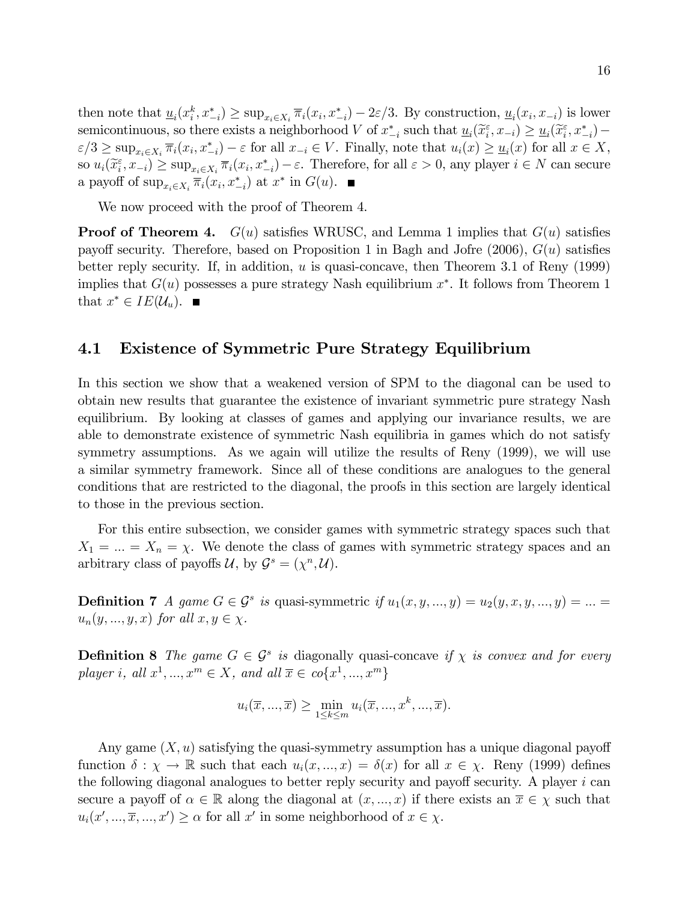then note that  $\underline{u}_i(x_i^k, x_{-i}^*) \ge \sup_{x_i \in X_i} \overline{\pi}_i(x_i, x_{-i}^*) - 2\varepsilon/3$ . By construction,  $\underline{u}_i(x_i, x_{-i})$  is lower semicontinuous, so there exists a neighborhood V of  $x_{-i}^*$  such that  $\underline{u}_i(\widetilde{x}_i^{\varepsilon}, x_{-i}) \ge \underline{u}_i(\widetilde{x}_i^{\varepsilon}, x_{-i}^*) \epsilon/3 \ge \sup_{x_i \in X_i} \overline{\pi}_i(x_i, x_{-i}^*) - \epsilon$  for all  $x_{-i} \in V$ . Finally, note that  $u_i(x) \ge \underline{u}_i(x)$  for all  $x \in X$ , so  $u_i(\widetilde{x}_i^{\varepsilon}, x_{-i}) \ge \sup_{x_i \in X_i} \overline{\pi}_i(x_i, x_{-i}^*) - \varepsilon$ . Therefore, for all  $\varepsilon > 0$ , any player  $i \in N$  can secure a payoff of  $\sup_{x_i \in X_i} \overline{\pi}_i(x_i, x_{-i}^*)$  at  $x^*$  in  $G(u)$ .

We now proceed with the proof of Theorem 4.

**Proof of Theorem 4.**  $G(u)$  satisfies WRUSC, and Lemma 1 implies that  $G(u)$  satisfies payoff security. Therefore, based on Proposition 1 in Bagh and Jofre  $(2006)$ ,  $G(u)$  satisfies better reply security. If, in addition,  $u$  is quasi-concave, then Theorem 3.1 of Reny (1999) implies that  $G(u)$  possesses a pure strategy Nash equilibrium  $x^*$ . It follows from Theorem 1 that  $x^* \in IE(\mathcal{U}_u)$ .

### 4.1 Existence of Symmetric Pure Strategy Equilibrium

In this section we show that a weakened version of SPM to the diagonal can be used to obtain new results that guarantee the existence of invariant symmetric pure strategy Nash equilibrium. By looking at classes of games and applying our invariance results, we are able to demonstrate existence of symmetric Nash equilibria in games which do not satisfy symmetry assumptions. As we again will utilize the results of Reny (1999), we will use a similar symmetry framework. Since all of these conditions are analogues to the general conditions that are restricted to the diagonal, the proofs in this section are largely identical to those in the previous section.

For this entire subsection, we consider games with symmetric strategy spaces such that  $X_1 = ... = X_n = \chi$ . We denote the class of games with symmetric strategy spaces and an arbitrary class of payoffs  $\mathcal{U}$ , by  $\mathcal{G}^s = (\chi^n, \mathcal{U})$ .

**Definition 7** A game  $G \in \mathcal{G}^s$  is quasi-symmetric if  $u_1(x, y, ..., y) = u_2(y, x, y, ..., y) = ... =$  $u_n(y, ..., y, x)$  for all  $x, y \in \chi$ .

**Definition 8** The game  $G \in \mathcal{G}^s$  is diagonally quasi-concave if  $\chi$  is convex and for every player i, all  $x^1, ..., x^m \in X$ , and all  $\overline{x} \in co\{x^1, ..., x^m\}$ 

$$
u_i(\overline{x}, \ldots, \overline{x}) \ge \min_{1 \le k \le m} u_i(\overline{x}, \ldots, x^k, \ldots, \overline{x}).
$$

Any game  $(X, u)$  satisfying the quasi-symmetry assumption has a unique diagonal payoff function  $\delta : \chi \to \mathbb{R}$  such that each  $u_i(x, ..., x) = \delta(x)$  for all  $x \in \chi$ . Reny (1999) defines the following diagonal analogues to better reply security and payoff security. A player  $i$  can secure a payoff of  $\alpha \in \mathbb{R}$  along the diagonal at  $(x, ..., x)$  if there exists an  $\overline{x} \in \chi$  such that  $u_i(x', ..., \overline{x}, ..., x') \ge \alpha$  for all x' in some neighborhood of  $x \in \chi$ .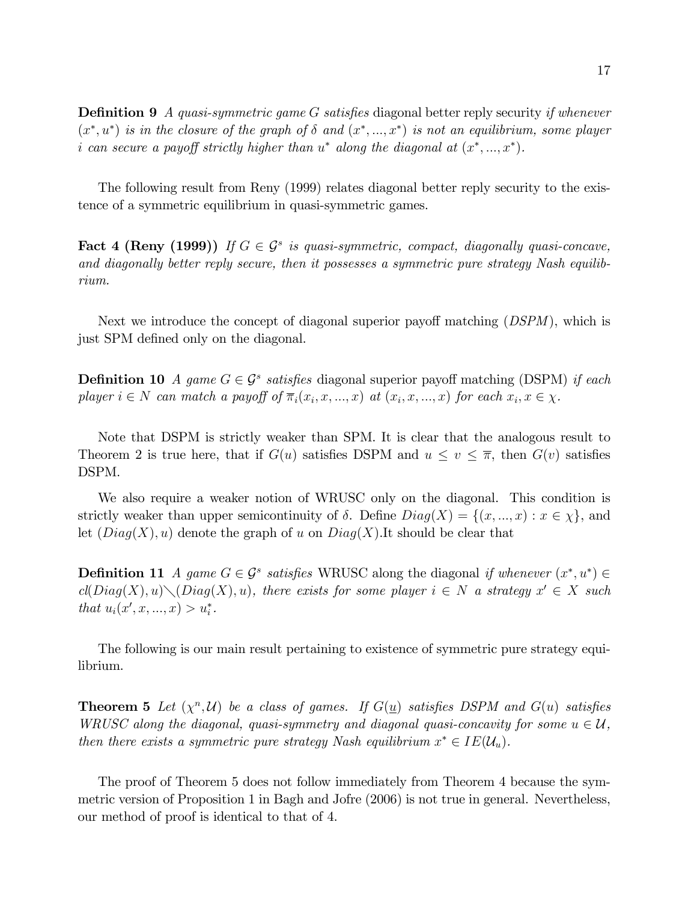**Definition 9** A quasi-symmetric game G satisfies diagonal better reply security if whenever  $(x^*, u^*)$  is in the closure of the graph of  $\delta$  and  $(x^*, ..., x^*)$  is not an equilibrium, some player i can secure a payoff strictly higher than  $u^*$  along the diagonal at  $(x^*,...,x^*)$ .

The following result from Reny (1999) relates diagonal better reply security to the existence of a symmetric equilibrium in quasi-symmetric games.

Fact 4 (Reny (1999)) If  $G \in \mathcal{G}^s$  is quasi-symmetric, compact, diagonally quasi-concave, and diagonally better reply secure, then it possesses a symmetric pure strategy Nash equilibrium.

Next we introduce the concept of diagonal superior payoff matching  $(DSPM)$ , which is just SPM defined only on the diagonal.

**Definition 10** A game  $G \in \mathcal{G}^s$  satisfies diagonal superior payoff matching (DSPM) if each player  $i \in N$  can match a payoff of  $\overline{\pi}_i(x_i, x, ..., x)$  at  $(x_i, x, ..., x)$  for each  $x_i, x \in \chi$ .

Note that DSPM is strictly weaker than SPM. It is clear that the analogous result to Theorem 2 is true here, that if  $G(u)$  satisfies DSPM and  $u \le v \le \overline{\pi}$ , then  $G(v)$  satisfies DSPM.

We also require a weaker notion of WRUSC only on the diagonal. This condition is strictly weaker than upper semicontinuity of  $\delta$ . Define  $Diag(X) = \{(x, ..., x) : x \in \chi\}$ , and let  $(Diag(X), u)$  denote the graph of u on  $Diag(X)$ . It should be clear that

**Definition 11** A game  $G \in \mathcal{G}^s$  satisfies WRUSC along the diagonal if whenever  $(x^*, u^*) \in$  $\text{cl}(Diag(X), u) \setminus (Diag(X), u)$ , there exists for some player  $i \in N$  a strategy  $x' \in X$  such that  $u_i(x', x, ..., x) > u_i^*$ .

The following is our main result pertaining to existence of symmetric pure strategy equilibrium.

**Theorem 5** Let  $(\chi^n, \mathcal{U})$  be a class of games. If  $G(\underline{u})$  satisfies DSPM and  $G(u)$  satisfies WRUSC along the diagonal, quasi-symmetry and diagonal quasi-concavity for some  $u \in \mathcal{U}$ , then there exists a symmetric pure strategy Nash equilibrium  $x^* \in IE(\mathcal{U}_u)$ .

The proof of Theorem 5 does not follow immediately from Theorem 4 because the symmetric version of Proposition 1 in Bagh and Jofre (2006) is not true in general. Nevertheless, our method of proof is identical to that of 4.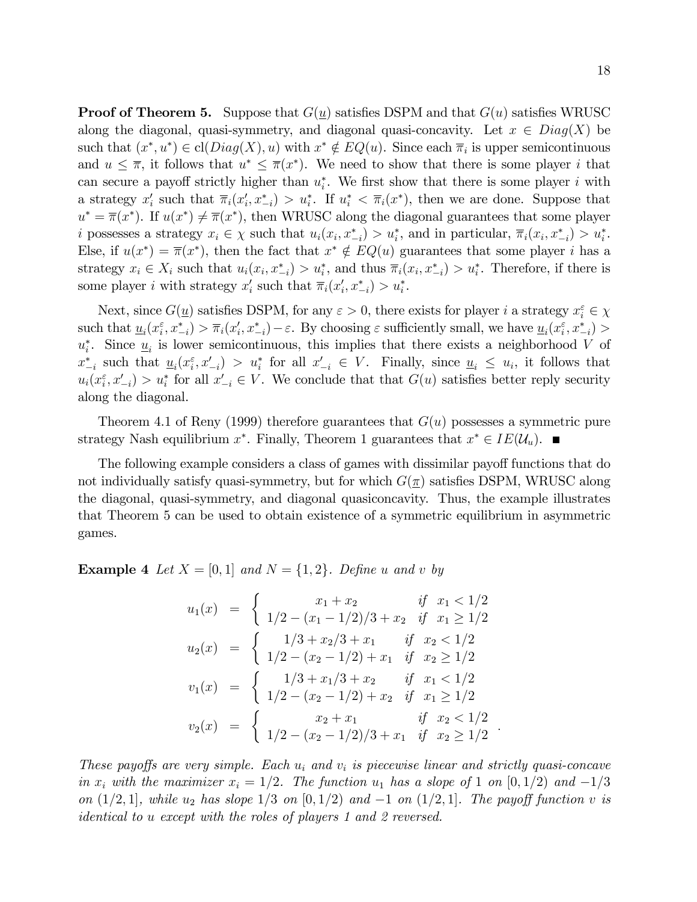**Proof of Theorem 5.** Suppose that  $G(u)$  satisfies DSPM and that  $G(u)$  satisfies WRUSC along the diagonal, quasi-symmetry, and diagonal quasi-concavity. Let  $x \in Diag(X)$  be such that  $(x^*, u^*) \in \text{cl}(Diag(X), u)$  with  $x^* \notin EQ(u)$ . Since each  $\overline{\pi}_i$  is upper semicontinuous and  $u \leq \overline{\pi}$ , it follows that  $u^* \leq \overline{\pi}(x^*)$ . We need to show that there is some player i that can secure a payoff strictly higher than  $u_i^*$ . We first show that there is some player i with a strategy  $x_i'$  such that  $\overline{\pi}_i(x_i', x_{-i}^*) > u_i^*$ . If  $u_i^* < \overline{\pi}_i(x^*)$ , then we are done. Suppose that  $u^* = \overline{\pi}(x^*)$ . If  $u(x^*) \neq \overline{\pi}(x^*)$ , then WRUSC along the diagonal guarantees that some player i possesses a strategy  $x_i \in \chi$  such that  $u_i(x_i, x_{-i}^*) > u_i^*$ , and in particular,  $\overline{\pi}_i(x_i, x_{-i}^*) > u_i^*$ . Else, if  $u(x^*) = \overline{\pi}(x^*)$ , then the fact that  $x^* \notin EQ(u)$  guarantees that some player *i* has a strategy  $x_i \in X_i$  such that  $u_i(x_i, x_{-i}^*) > u_i^*$ , and thus  $\overline{\pi}_i(x_i, x_{-i}^*) > u_i^*$ . Therefore, if there is some player *i* with strategy  $x'_i$  such that  $\overline{\pi}_i(x'_i, x^*_{-i}) > u^*_i$ .

Next, since  $G(\underline{u})$  satisfies DSPM, for any  $\varepsilon > 0$ , there exists for player i a strategy  $x_i^{\varepsilon} \in \chi$ such that  $\underline{u}_i(x_i^{\varepsilon}, x_{-i}^*) > \overline{\pi}_i(x_i', x_{-i}^*) - \varepsilon$ . By choosing  $\varepsilon$  sufficiently small, we have  $\underline{u}_i(x_i^{\varepsilon}, x_{-i}^*) >$  $u_i^*$ . Since  $\underline{u}_i$  is lower semicontinuous, this implies that there exists a neighborhood V of  $x_{-i}^*$  such that  $\underline{u}_i(x_i^{\varepsilon}, x_{-i}') > u_i^*$  for all  $x_{-i}' \in V$ . Finally, since  $\underline{u}_i \leq u_i$ , it follows that  $u_i(x_i^{\varepsilon}, x'_{-i}) > u_i^*$  for all  $x'_{-i} \in V$ . We conclude that that  $G(u)$  satisfies better reply security along the diagonal.

Theorem 4.1 of Reny (1999) therefore guarantees that  $G(u)$  possesses a symmetric pure strategy Nash equilibrium  $x^*$ . Finally, Theorem 1 guarantees that  $x^* \in IE(U_u)$ .

The following example considers a class of games with dissimilar payoff functions that do not individually satisfy quasi-symmetry, but for which  $G(\pi)$  satisfies DSPM, WRUSC along the diagonal, quasi-symmetry, and diagonal quasiconcavity. Thus, the example illustrates that Theorem 5 can be used to obtain existence of a symmetric equilibrium in asymmetric games.

**Example 4** Let  $X = \{0, 1\}$  and  $N = \{1, 2\}$ . Define u and v by

$$
u_1(x) = \begin{cases} x_1 + x_2 & \text{if } x_1 < 1/2 \\ 1/2 - (x_1 - 1/2)/3 + x_2 & \text{if } x_1 \ge 1/2 \end{cases}
$$
  
\n
$$
u_2(x) = \begin{cases} 1/3 + x_2/3 + x_1 & \text{if } x_2 < 1/2 \\ 1/2 - (x_2 - 1/2) + x_1 & \text{if } x_2 \ge 1/2 \end{cases}
$$
  
\n
$$
v_1(x) = \begin{cases} 1/3 + x_1/3 + x_2 & \text{if } x_1 < 1/2 \\ 1/2 - (x_2 - 1/2) + x_2 & \text{if } x_1 \ge 1/2 \end{cases}
$$
  
\n
$$
v_2(x) = \begin{cases} x_2 + x_1 & \text{if } x_2 < 1/2 \\ 1/2 - (x_2 - 1/2)/3 + x_1 & \text{if } x_2 \ge 1/2 \end{cases}
$$

These payoffs are very simple. Each  $u_i$  and  $v_i$  is piecewise linear and strictly quasi-concave in  $x_i$  with the maximizer  $x_i = 1/2$ . The function  $u_1$  has a slope of 1 on  $[0, 1/2)$  and  $-1/3$ on  $(1/2, 1]$ , while  $u_2$  has slope  $1/3$  on  $[0, 1/2)$  and  $-1$  on  $(1/2, 1]$ . The payoff function v is identical to u except with the roles of players 1 and 2 reversed.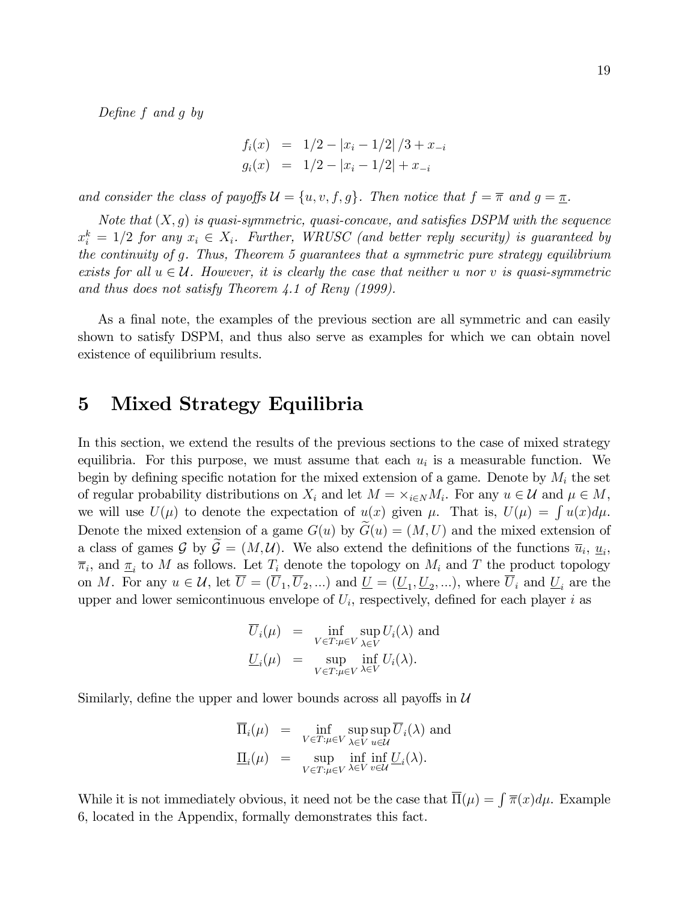Define  $f$  and  $g$  by

$$
f_i(x) = 1/2 - |x_i - 1/2| / 3 + x_{-i}
$$
  

$$
g_i(x) = 1/2 - |x_i - 1/2| + x_{-i}
$$

and consider the class of payoffs  $\mathcal{U} = \{u, v, f, g\}$ . Then notice that  $f = \overline{\pi}$  and  $g = \underline{\pi}$ .

Note that  $(X, q)$  is quasi-symmetric, quasi-concave, and satisfies DSPM with the sequence  $x_i^k = 1/2$  for any  $x_i \in X_i$ . Further, WRUSC (and better reply security) is guaranteed by the continuity of g. Thus, Theorem 5 guarantees that a symmetric pure strategy equilibrium exists for all  $u \in \mathcal{U}$ . However, it is clearly the case that neither u nor v is quasi-symmetric and thus does not satisfy Theorem 4.1 of Reny (1999).

As a final note, the examples of the previous section are all symmetric and can easily shown to satisfy DSPM, and thus also serve as examples for which we can obtain novel existence of equilibrium results.

## 5 Mixed Strategy Equilibria

In this section, we extend the results of the previous sections to the case of mixed strategy equilibria. For this purpose, we must assume that each  $u_i$  is a measurable function. We begin by defining specific notation for the mixed extension of a game. Denote by  $M_i$  the set of regular probability distributions on  $X_i$  and let  $M = \times_{i \in N} M_i$ . For any  $u \in \mathcal{U}$  and  $\mu \in M$ , we will use  $U(\mu)$  to denote the expectation of  $u(x)$  given  $\mu$ . That is,  $U(\mu) = \int u(x) d\mu$ . Denote the mixed extension of a game  $G(u)$  by  $G(u) = (M, U)$  and the mixed extension of a class of games  $\mathcal{G}$  by  $\mathcal{G} = (M, \mathcal{U})$ . We also extend the definitions of the functions  $\overline{u}_i, \underline{u}_i$ ,  $\overline{\pi}_i$ , and  $\underline{\pi}_i$  to M as follows. Let  $T_i$  denote the topology on  $M_i$  and T the product topology on M. For any  $u \in \mathcal{U}$ , let  $U = (U_1, U_2, ...)$  and  $\underline{U} = (\underline{U}_1, \underline{U}_2, ...)$ , where  $U_i$  and  $\underline{U}_i$  are the upper and lower semicontinuous envelope of  $U_i$ , respectively, defined for each player i as

$$
\overline{U}_i(\mu) = \inf_{V \in T: \mu \in V} \sup_{\lambda \in V} U_i(\lambda) \text{ and}
$$
  

$$
\underline{U}_i(\mu) = \sup_{V \in T: \mu \in V} \inf_{\lambda \in V} U_i(\lambda).
$$

Similarly, define the upper and lower bounds across all payoffs in  $U$ 

$$
\overline{\Pi}_i(\mu) = \inf_{V \in T: \mu \in V} \sup_{\lambda \in V} \sup_{u \in \mathcal{U}} \overline{U}_i(\lambda) \text{ and}
$$
  

$$
\underline{\Pi}_i(\mu) = \sup_{V \in T: \mu \in V} \inf_{\lambda \in V} \inf_{v \in \mathcal{U}} \underline{U}_i(\lambda).
$$

While it is not immediately obvious, it need not be the case that  $\overline{\Pi}(\mu) = \int \overline{\pi}(x) d\mu$ . Example 6, located in the Appendix, formally demonstrates this fact.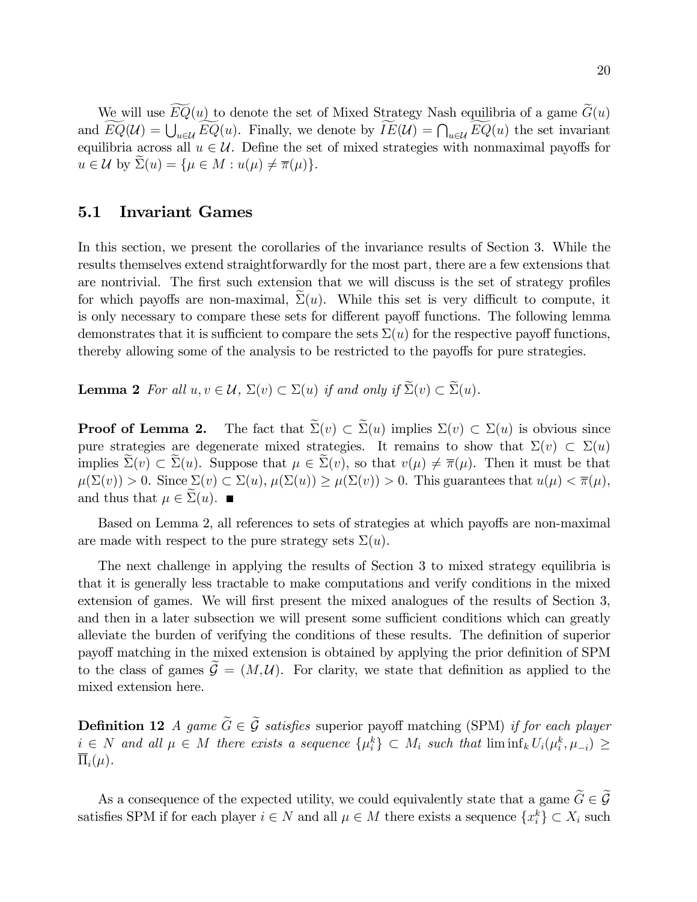We will use  $\widetilde{EQ}(u)$  to denote the set of Mixed Strategy Nash equilibria of a game  $\widetilde{G}(u)$ and  $\widetilde{EQ}(\mathcal{U}) = \bigcup_{u \in \mathcal{U}} \widetilde{EQ}(u)$ . Finally, we denote by  $\widetilde{IE}(\mathcal{U}) = \bigcap_{u \in \mathcal{U}} \widetilde{EQ}(u)$  the set invariant equilibria across all  $u \in \mathcal{U}$ . Define the set of mixed strategies with nonmaximal payoffs for  $u \in \mathcal{U}$  by  $\Sigma(u) = {\mu \in M : u(\mu) \neq \overline{\pi}(\mu)}.$ 

## 5.1 Invariant Games

In this section, we present the corollaries of the invariance results of Section 3. While the results themselves extend straightforwardly for the most part, there are a few extensions that are nontrivial. The first such extension that we will discuss is the set of strategy profiles for which payoffs are non-maximal,  $\Sigma(u)$ . While this set is very difficult to compute, it is only necessary to compare these sets for different payoff functions. The following lemma demonstrates that it is sufficient to compare the sets  $\Sigma(u)$  for the respective payoff functions, thereby allowing some of the analysis to be restricted to the payoffs for pure strategies.

**Lemma 2** For all  $u, v \in \mathcal{U}$ ,  $\Sigma(v) \subset \Sigma(u)$  if and only if  $\widetilde{\Sigma}(v) \subset \widetilde{\Sigma}(u)$ .

**Proof of Lemma 2.** The fact that  $\Sigma(v) \subset \Sigma(u)$  implies  $\Sigma(v) \subset \Sigma(u)$  is obvious since pure strategies are degenerate mixed strategies. It remains to show that  $\Sigma(v) \subset \Sigma(u)$ implies  $\Sigma(v) \subset \Sigma(u)$ . Suppose that  $\mu \in \Sigma(v)$ , so that  $v(\mu) \neq \overline{\pi}(\mu)$ . Then it must be that  $\mu(\Sigma(v)) > 0$ . Since  $\Sigma(v) \subset \Sigma(u)$ ,  $\mu(\Sigma(u)) \geq \mu(\Sigma(v)) > 0$ . This guarantees that  $u(\mu) < \overline{\pi}(\mu)$ , and thus that  $\mu \in \Sigma(u)$ .

Based on Lemma 2, all references to sets of strategies at which payoffs are non-maximal are made with respect to the pure strategy sets  $\Sigma(u)$ .

The next challenge in applying the results of Section 3 to mixed strategy equilibria is that it is generally less tractable to make computations and verify conditions in the mixed extension of games. We will first present the mixed analogues of the results of Section 3, and then in a later subsection we will present some sufficient conditions which can greatly alleviate the burden of verifying the conditions of these results. The definition of superior payoff matching in the mixed extension is obtained by applying the prior definition of SPM to the class of games  $\mathcal{G} = (M, \mathcal{U})$ . For clarity, we state that definition as applied to the mixed extension here.

**Definition 12** A game  $\widetilde{G} \in \widetilde{\mathcal{G}}$  satisfies superior payoff matching (SPM) if for each player  $i \in N$  and all  $\mu \in M$  there exists a sequence  $\{\mu_i^k\} \subset M_i$  such that  $\liminf_k U_i(\mu_i^k, \mu_{-i}) \ge$  $\Pi_i(\mu)$ .

As a consequence of the expected utility, we could equivalently state that a game  $\widetilde{G} \in \widetilde{\mathcal{G}}$ satisfies SPM if for each player  $i \in N$  and all  $\mu \in M$  there exists a sequence  $\{x_i^k\} \subset X_i$  such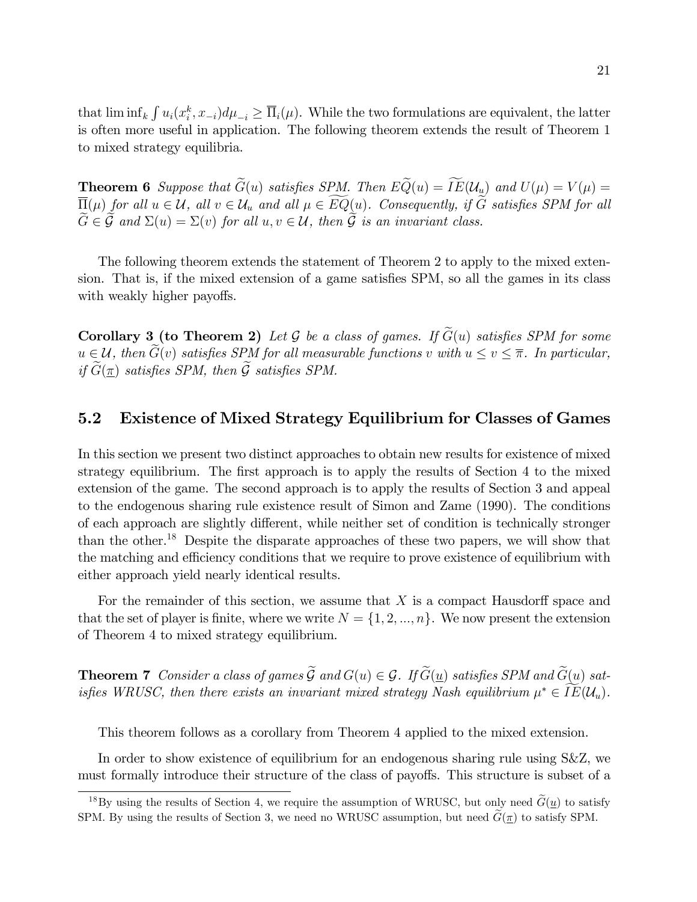that  $\liminf_k \int u_i(x_i^k, x_{-i}) d\mu_{-i} \geq \overline{\Pi}_i(\mu)$ . While the two formulations are equivalent, the latter is often more useful in application. The following theorem extends the result of Theorem 1 to mixed strategy equilibria.

**Theorem 6** Suppose that  $\widetilde{G}(u)$  satisfies SPM. Then  $E\widetilde{Q}(u) = \widetilde{IE}(\mathcal{U}_u)$  and  $U(\mu) = V(\mu) =$  $\overline{\Pi}(\mu)$  for all  $u \in \mathcal{U}$ , all  $v \in \mathcal{U}_u$  and all  $\mu \in \widetilde{EQ}(u)$ . Consequently, if  $\widetilde{G}$  satisfies SPM for all  $\widetilde{G} \in \widetilde{\mathcal{G}}$  and  $\Sigma(u) = \Sigma(v)$  for all  $u, v \in \mathcal{U}$ , then  $\widetilde{\mathcal{G}}$  is an invariant class.

The following theorem extends the statement of Theorem 2 to apply to the mixed extension. That is, if the mixed extension of a game satisfies SPM, so all the games in its class with weakly higher payoffs.

**Corollary 3 (to Theorem 2)** Let G be a class of games. If  $\widetilde{G}(u)$  satisfies SPM for some  $u \in \mathcal{U}$ , then  $\widetilde{G}(v)$  satisfies SPM for all measurable functions v with  $u \le v \le \overline{\pi}$ . In particular, if  $\widetilde{G}(\pi)$  satisfies SPM, then  $\widetilde{\mathcal{G}}$  satisfies SPM.

#### $5.2$ Existence of Mixed Strategy Equilibrium for Classes of Games

In this section we present two distinct approaches to obtain new results for existence of mixed strategy equilibrium. The first approach is to apply the results of Section 4 to the mixed extension of the game. The second approach is to apply the results of Section 3 and appeal to the endogenous sharing rule existence result of Simon and Zame (1990). The conditions of each approach are slightly different, while neither set of condition is technically stronger than the other.<sup>18</sup> Despite the disparate approaches of these two papers, we will show that the matching and efficiency conditions that we require to prove existence of equilibrium with either approach yield nearly identical results.

For the remainder of this section, we assume that  $X$  is a compact Hausdorff space and that the set of player is finite, where we write  $N = \{1, 2, ..., n\}$ . We now present the extension of Theorem 4 to mixed strategy equilibrium.

**Theorem 7** Consider a class of games  $\widetilde{\mathcal{G}}$  and  $G(u) \in \mathcal{G}$ . If  $\widetilde{G}(u)$  satisfies SPM and  $\widetilde{G}(u)$  satiisfies WRUSC, then there exists an invariant mixed strategy Nash equilibrium  $\mu^* \in IE(\mathcal{U}_u)$ .

This theorem follows as a corollary from Theorem 4 applied to the mixed extension.

In order to show existence of equilibrium for an endogenous sharing rule using S&Z, we must formally introduce their structure of the class of payoffs. This structure is subset of a

<sup>&</sup>lt;sup>18</sup>By using the results of Section 4, we require the assumption of WRUSC, but only need  $\tilde{G}(\underline{u})$  to satisfy SPM. By using the results of Section 3, we need no WRUSC assumption, but need  $\tilde{G}(\pi)$  to satisfy SPM.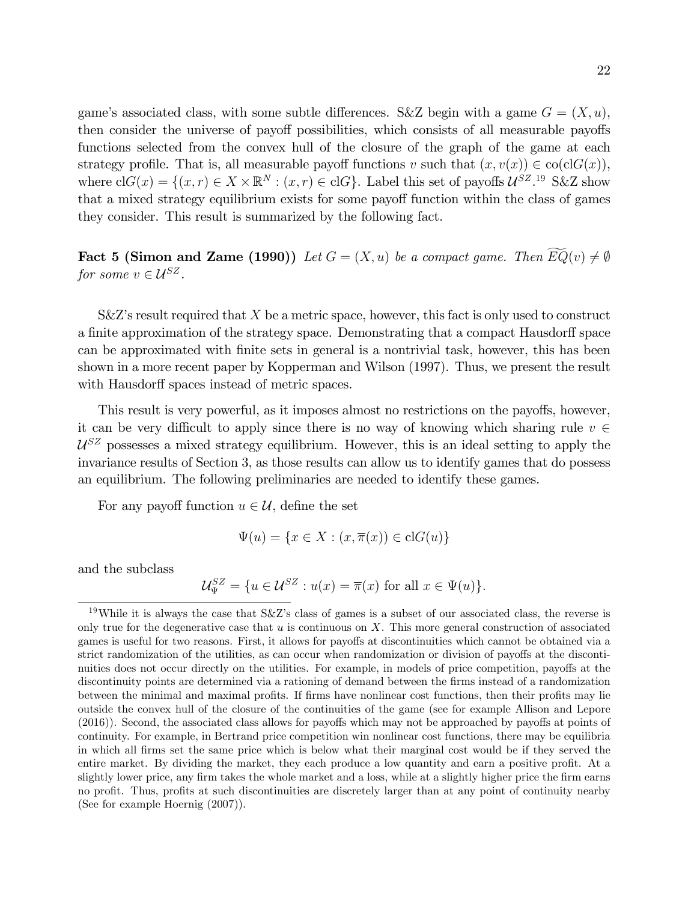game's associated class, with some subtle differences. S&Z begin with a game  $G = (X, u)$ , then consider the universe of payoff possibilities, which consists of all measurable payoffs functions selected from the convex hull of the closure of the graph of the game at each strategy profile. That is, all measurable payoff functions v such that  $(x, v(x)) \in \text{co}(\text{cl}G(x))$ , where  $\text{cl}G(x) = \{(x, r) \in X \times \mathbb{R}^N : (x, r) \in \text{cl}G\}$ . Label this set of payoffs  $\mathcal{U}^{SZ}$ .<sup>19</sup> S&Z show that a mixed strategy equilibrium exists for some payoff function within the class of games they consider. This result is summarized by the following fact.

**Fact 5 (Simon and Zame (1990))** Let  $G = (X, u)$  be a compact game. Then  $\widetilde{EQ}(v) \neq \emptyset$ for some  $v \in \mathcal{U}^{SZ}$ .

 $S\&Z$ 's result required that  $X$  be a metric space, however, this fact is only used to construct a finite approximation of the strategy space. Demonstrating that a compact Hausdorff space can be approximated with Önite sets in general is a nontrivial task, however, this has been shown in a more recent paper by Kopperman and Wilson (1997). Thus, we present the result with Hausdorff spaces instead of metric spaces.

This result is very powerful, as it imposes almost no restrictions on the payoffs, however, it can be very difficult to apply since there is no way of knowing which sharing rule  $v \in$  $U^{SZ}$  possesses a mixed strategy equilibrium. However, this is an ideal setting to apply the invariance results of Section 3, as those results can allow us to identify games that do possess an equilibrium. The following preliminaries are needed to identify these games.

For any payoff function  $u \in \mathcal{U}$ , define the set

$$
\Psi(u) = \{ x \in X : (x, \overline{\pi}(x)) \in \text{cl}G(u) \}
$$

and the subclass

$$
\mathcal{U}_{\Psi}^{SZ} = \{ u \in \mathcal{U}^{SZ} : u(x) = \overline{\pi}(x) \text{ for all } x \in \Psi(u) \}.
$$

<sup>&</sup>lt;sup>19</sup>While it is always the case that  $S\&Z$ 's class of games is a subset of our associated class, the reverse is only true for the degenerative case that  $u$  is continuous on  $X$ . This more general construction of associated games is useful for two reasons. First, it allows for payoffs at discontinuities which cannot be obtained via a strict randomization of the utilities, as can occur when randomization or division of payoffs at the discontinuities does not occur directly on the utilities. For example, in models of price competition, payoffs at the discontinuity points are determined via a rationing of demand between the firms instead of a randomization between the minimal and maximal profits. If firms have nonlinear cost functions, then their profits may lie outside the convex hull of the closure of the continuities of the game (see for example Allison and Lepore  $(2016)$ ). Second, the associated class allows for payoffs which may not be approached by payoffs at points of continuity. For example, in Bertrand price competition win nonlinear cost functions, there may be equilibria in which all Örms set the same price which is below what their marginal cost would be if they served the entire market. By dividing the market, they each produce a low quantity and earn a positive profit. At a slightly lower price, any firm takes the whole market and a loss, while at a slightly higher price the firm earns no profit. Thus, profits at such discontinuities are discretely larger than at any point of continuity nearby (See for example Hoernig (2007)).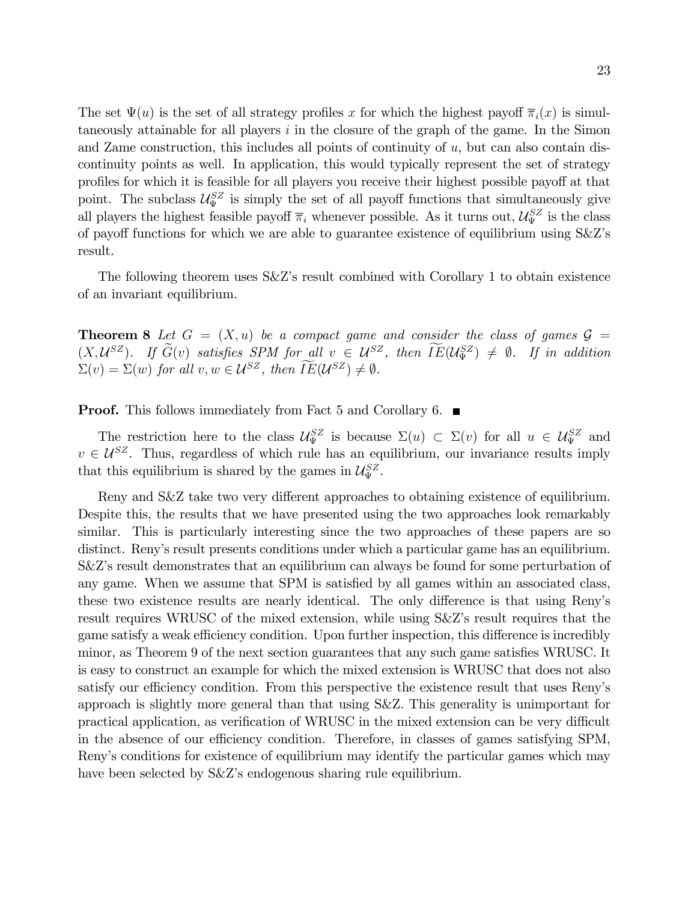The set  $\Psi(u)$  is the set of all strategy profiles x for which the highest payoff  $\overline{\pi}_i(x)$  is simultaneously attainable for all players  $i$  in the closure of the graph of the game. In the Simon and Zame construction, this includes all points of continuity of  $u$ , but can also contain discontinuity points as well. In application, this would typically represent the set of strategy profiles for which it is feasible for all players you receive their highest possible payoff at that point. The subclass  $\mathcal{U}_{\Psi}^{SZ}$  is simply the set of all payoff functions that simultaneously give all players the highest feasible payoff  $\overline{\pi}_i$  whenever possible. As it turns out,  $\mathcal{U}_{\Psi}^{SZ}$  is the class of payoff functions for which we are able to guarantee existence of equilibrium using  $S\&Z$ 's result.

The following theorem uses  $S\&Z$ 's result combined with Corollary 1 to obtain existence of an invariant equilibrium.

**Theorem 8** Let  $G = (X, u)$  be a compact game and consider the class of games  $\mathcal{G} =$  $(X,\mathcal{U}^{SZ})$ . If  $G(v)$  satisfies SPM for all  $v \in \mathcal{U}^{SZ}$ , then  $IE(\mathcal{U}^{SZ}_{\Psi}) \neq \emptyset$ . If in addition  $\Sigma(v) = \Sigma(w)$  for all  $v, w \in \mathcal{U}^{SZ}$ , then  $IE(\mathcal{U}^{SZ}) \neq \emptyset$ .

**Proof.** This follows immediately from Fact 5 and Corollary 6.  $\blacksquare$ 

The restriction here to the class  $\mathcal{U}_{\Psi}^{SZ}$  is because  $\Sigma(u) \subset \Sigma(v)$  for all  $u \in \mathcal{U}_{\Psi}^{SZ}$  and  $v \in \mathcal{U}^{SZ}$ . Thus, regardless of which rule has an equilibrium, our invariance results imply that this equilibrium is shared by the games in  $\mathcal{U}_{\Psi}^{SZ}$ .

Reny and S&Z take two very different approaches to obtaining existence of equilibrium. Despite this, the results that we have presented using the two approaches look remarkably similar. This is particularly interesting since the two approaches of these papers are so distinct. Reny's result presents conditions under which a particular game has an equilibrium. S&Z's result demonstrates that an equilibrium can always be found for some perturbation of any game. When we assume that SPM is satisfied by all games within an associated class, these two existence results are nearly identical. The only difference is that using Reny's result requires WRUSC of the mixed extension, while using  $S\&Z$ 's result requires that the game satisfy a weak efficiency condition. Upon further inspection, this difference is incredibly minor, as Theorem 9 of the next section guarantees that any such game satisfies WRUSC. It is easy to construct an example for which the mixed extension is WRUSC that does not also satisfy our efficiency condition. From this perspective the existence result that uses Reny's approach is slightly more general than that using S&Z. This generality is unimportant for practical application, as verification of WRUSC in the mixed extension can be very difficult in the absence of our efficiency condition. Therefore, in classes of games satisfying SPM, Reny's conditions for existence of equilibrium may identify the particular games which may have been selected by  $S\&Z$ 's endogenous sharing rule equilibrium.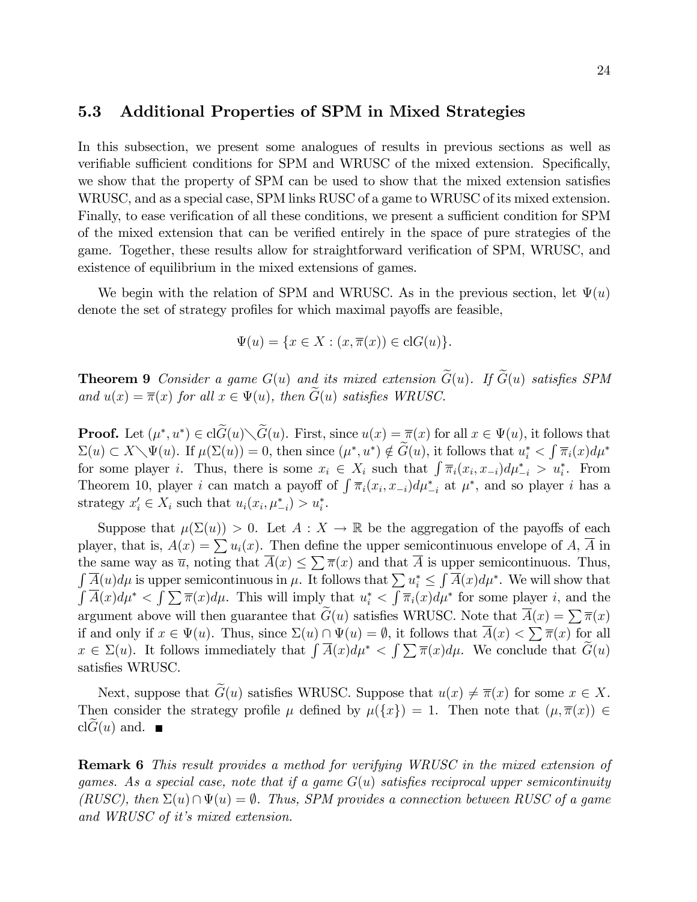### 5.3 Additional Properties of SPM in Mixed Strategies

In this subsection, we present some analogues of results in previous sections as well as verifiable sufficient conditions for SPM and WRUSC of the mixed extension. Specifically, we show that the property of SPM can be used to show that the mixed extension satisfies WRUSC, and as a special case, SPM links RUSC of a game to WRUSC of its mixed extension. Finally, to ease verification of all these conditions, we present a sufficient condition for SPM of the mixed extension that can be verified entirely in the space of pure strategies of the game. Together, these results allow for straightforward verification of SPM, WRUSC, and existence of equilibrium in the mixed extensions of games.

We begin with the relation of SPM and WRUSC. As in the previous section, let  $\Psi(u)$ denote the set of strategy profiles for which maximal payoffs are feasible,

$$
\Psi(u) = \{ x \in X : (x, \overline{\pi}(x)) \in \text{cl}G(u) \}.
$$

**Theorem 9** Consider a game  $G(u)$  and its mixed extension  $\widetilde{G}(u)$ . If  $\widetilde{G}(u)$  satisfies SPM and  $u(x) = \overline{\pi}(x)$  for all  $x \in \Psi(u)$ , then  $G(u)$  satisfies WRUSC.

**Proof.** Let  $(\mu^*, u^*) \in \text{cl}G(u) \setminus G(u)$ . First, since  $u(x) = \overline{\pi}(x)$  for all  $x \in \Psi(u)$ , it follows that  $\Sigma(u) \subset X \setminus \Psi(u)$ . If  $\mu(\Sigma(u)) = 0$ , then since  $(\mu^*, u^*) \notin \widetilde{G}(u)$ , it follows that  $u_i^* < \int \overline{\pi}_i(x) d\mu^*$ for some player *i*. Thus, there is some  $x_i \in X_i$  such that  $\int \overline{\pi}_i(x_i, x_{-i}) d\mu_{-i}^* > u_i^*$ . From Theorem 10, player *i* can match a payoff of  $\int \overline{\pi}_i(x_i, x_{-i}) d\mu_{-i}^*$  at  $\mu^*$ , and so player *i* has a strategy  $x'_i \in X_i$  such that  $u_i(x_i, \mu_{-i}^*) > u_i^*$ .

Suppose that  $\mu(\Sigma(u)) > 0$ . Let  $A : X \to \mathbb{R}$  be the aggregation of the payoffs of each player, that is,  $A(x) = \sum u_i(x)$ . Then define the upper semicontinuous envelope of A, A in the same way as  $\overline{u}$ , noting that  $\overline{A}(x) \leq \sum \overline{\pi}(x)$  and that  $\overline{A}$  is upper semicontinuous. Thus,  $\int_{\alpha} \overline{A}(u) d\mu$  is upper semicontinuous in  $\mu$ . It follows that  $\sum_{i} u_i^* \leq \int \overline{A}(x) d\mu^*$ . We will show that  $\int \overline{A}(x) d\mu^* < \int \sum \overline{\pi}(x) d\mu$ . This will imply that  $u_i^* < \int \overline{\pi}_i(x) d\mu^*$  for some player i, and the argument above will then guarantee that  $\tilde{G}(u)$  satisfies WRUSC. Note that  $\overline{A}(x) = \sum \overline{\pi}(x)$ if and only if  $x \in \Psi(u)$ . Thus, since  $\Sigma(u) \cap \Psi(u) = \emptyset$ , it follows that  $\overline{A}(x) < \sum \overline{\pi}(x)$  for all  $x \in \Sigma(u)$ . It follows immediately that  $\int \overline{A}(x) d\mu^* < \int \sum \overline{\pi}(x) d\mu$ . We conclude that  $\widetilde{G}(u)$ satisfies WRUSC.

Next, suppose that  $G(u)$  satisfies WRUSC. Suppose that  $u(x) \neq \overline{\pi}(x)$  for some  $x \in X$ . Then consider the strategy profile  $\mu$  defined by  $\mu({x}) = 1$ . Then note that  $(\mu, \overline{\pi}(x)) \in$  $clG(u)$  and.  $\blacksquare$ 

Remark 6 This result provides a method for verifying WRUSC in the mixed extension of games. As a special case, note that if a game  $G(u)$  satisfies reciprocal upper semicontinuity (RUSC), then  $\Sigma(u)\cap \Psi(u) = \emptyset$ . Thus, SPM provides a connection between RUSC of a game and WRUSC of it's mixed extension.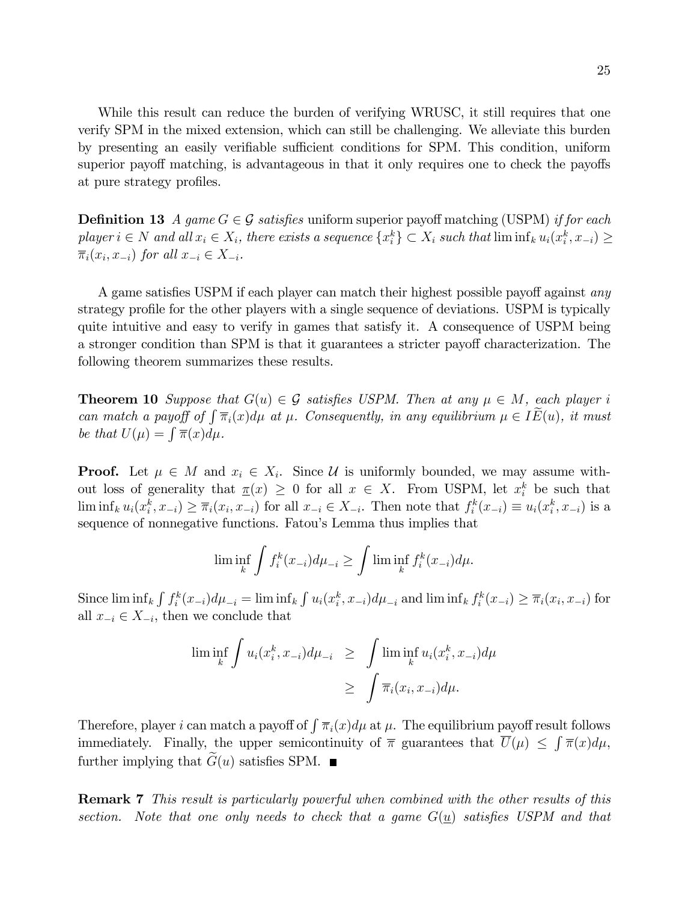While this result can reduce the burden of verifying WRUSC, it still requires that one verify SPM in the mixed extension, which can still be challenging. We alleviate this burden by presenting an easily verifiable sufficient conditions for SPM. This condition, uniform superior payoff matching, is advantageous in that it only requires one to check the payoffs at pure strategy profiles.

**Definition 13** A game  $G \in \mathcal{G}$  satisfies uniform superior payoff matching (USPM) if for each player  $i \in N$  and all  $x_i \in X_i$ , there exists a sequence  $\{x_i^k\} \subset X_i$  such that  $\liminf_k u_i(x_i^k, x_{-i}) \ge$  $\overline{\pi}_i(x_i, x_{-i})$  for all  $x_{-i} \in X_{-i}$ .

A game satisfies USPM if each player can match their highest possible payoff against  $any$ strategy profile for the other players with a single sequence of deviations. USPM is typically quite intuitive and easy to verify in games that satisfy it. A consequence of USPM being a stronger condition than SPM is that it guarantees a stricter payoff characterization. The following theorem summarizes these results.

**Theorem 10** Suppose that  $G(u) \in \mathcal{G}$  satisfies USPM. Then at any  $\mu \in M$ , each player i can match a payoff of  $\int \overline{\pi}_i(x) d\mu$  at  $\mu$ . Consequently, in any equilibrium  $\mu \in I\widetilde{E}(u)$ , it must be that  $U(\mu) = \int \overline{\pi}(x) d\mu$ .

**Proof.** Let  $\mu \in M$  and  $x_i \in X_i$ . Since U is uniformly bounded, we may assume without loss of generality that  $\underline{\pi}(x) \geq 0$  for all  $x \in X$ . From USPM, let  $x_i^k$  be such that  $\liminf_k u_i(x_i^k, x_{-i}) \geq \overline{\pi}_i(x_i, x_{-i})$  for all  $x_{-i} \in X_{-i}$ . Then note that  $f_i^k(x_{-i}) \equiv u_i(x_i^k, x_{-i})$  is a sequence of nonnegative functions. Fatou's Lemma thus implies that

$$
\liminf_{k} \int f_i^k(x_{-i}) d\mu_{-i} \ge \int \liminf_{k} f_i^k(x_{-i}) d\mu.
$$

Since  $\liminf_k \int f_i^k(x_{-i})d\mu_{-i} = \liminf_k \int u_i(x_i^k, x_{-i})d\mu_{-i}$  and  $\liminf_k f_i^k(x_{-i}) \geq \overline{\pi}_i(x_i, x_{-i})$  for all  $x_{-i} \in X_{-i}$ , then we conclude that

$$
\liminf_{k} \int u_i(x_i^k, x_{-i}) d\mu_{-i} \ge \int \liminf_{k} u_i(x_i^k, x_{-i}) d\mu
$$
  

$$
\ge \int \overline{\pi}_i(x_i, x_{-i}) d\mu.
$$

Therefore, player i can match a payoff of  $\int \overline{\pi}_i(x) d\mu$  at  $\mu$ . The equilibrium payoff result follows immediately. Finally, the upper semicontinuity of  $\bar{\pi}$  guarantees that  $\bar{U}(\mu) \leq \int \bar{\pi}(x) d\mu$ , further implying that  $G(u)$  satisfies SPM.  $\blacksquare$ 

Remark 7 This result is particularly powerful when combined with the other results of this section. Note that one only needs to check that a game  $G(u)$  satisfies USPM and that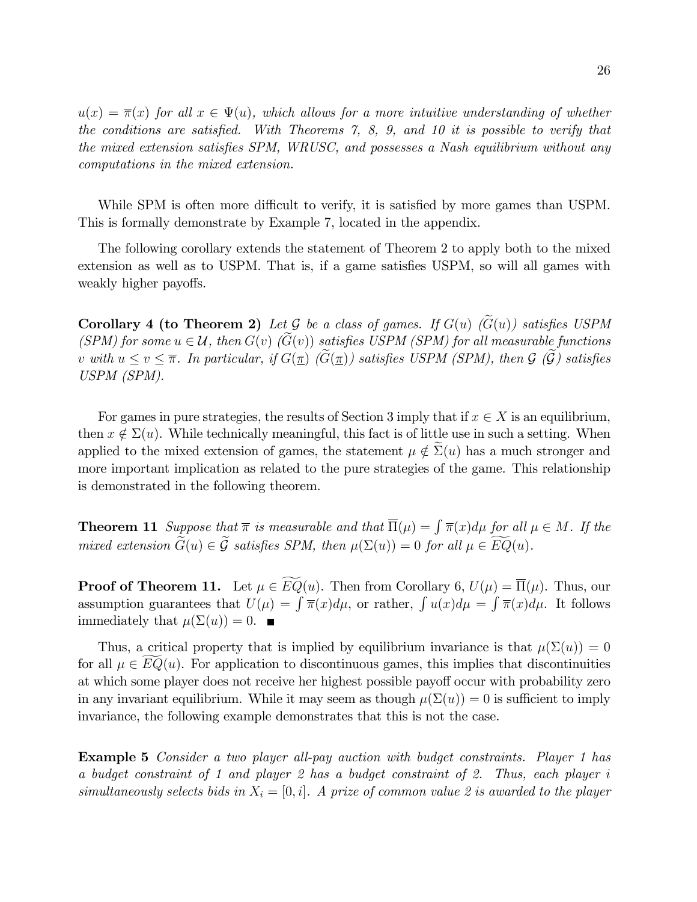$u(x) = \overline{\pi}(x)$  for all  $x \in \Psi(u)$ , which allows for a more intuitive understanding of whether the conditions are satisfied. With Theorems  $\tilde{z}$ , 8, 9, and 10 it is possible to verify that the mixed extension satisfies SPM, WRUSC, and possesses a Nash equilibrium without any computations in the mixed extension.

While SPM is often more difficult to verify, it is satisfied by more games than USPM. This is formally demonstrate by Example 7, located in the appendix.

The following corollary extends the statement of Theorem 2 to apply both to the mixed extension as well as to USPM. That is, if a game satisfies USPM, so will all games with weakly higher payoffs.

Corollary 4 (to Theorem 2) Let G be a class of games. If  $G(u)$  ( $\widetilde{G}(u)$ ) satisfies USPM (SPM) for some  $u \in \mathcal{U}$ , then  $G(v)$  ( $G(v)$ ) satisfies USPM (SPM) for all measurable functions v with  $u \le v \le \overline{\pi}$ . In particular, if  $G(\underline{\pi})$  ( $\widetilde{G}(\underline{\pi})$ ) satisfies USPM (SPM), then  $\mathcal{G}$  ( $\widetilde{\mathcal{G}}$ ) satisfies USPM (SPM).

For games in pure strategies, the results of Section 3 imply that if  $x \in X$  is an equilibrium, then  $x \notin \Sigma(u)$ . While technically meaningful, this fact is of little use in such a setting. When applied to the mixed extension of games, the statement  $\mu \notin \Sigma(u)$  has a much stronger and more important implication as related to the pure strategies of the game. This relationship is demonstrated in the following theorem.

**Theorem 11** Suppose that  $\overline{\pi}$  is measurable and that  $\overline{\Pi}(\mu) = \int \overline{\pi}(x) d\mu$  for all  $\mu \in M$ . If the mixed extension  $\widetilde{G}(u) \in \widetilde{\mathcal{G}}$  satisfies SPM, then  $\mu(\Sigma(u)) = 0$  for all  $\mu \in \widetilde{EQ}(u)$ .

**Proof of Theorem 11.** Let  $\mu \in EQ(u)$ . Then from Corollary 6,  $U(\mu) = \overline{\Pi}(\mu)$ . Thus, our assumption guarantees that  $U(\mu) = \int \overline{\pi}(x) d\mu$ , or rather,  $\int u(x) d\mu = \int \overline{\pi}(x) d\mu$ . It follows immediately that  $\mu(\Sigma(u)) = 0$ .

Thus, a critical property that is implied by equilibrium invariance is that  $\mu(\Sigma(u)) = 0$ for all  $\mu \in EQ(u)$ . For application to discontinuous games, this implies that discontinuities at which some player does not receive her highest possible payoff occur with probability zero in any invariant equilibrium. While it may seem as though  $\mu(\Sigma(u)) = 0$  is sufficient to imply invariance, the following example demonstrates that this is not the case.

Example 5 Consider a two player all-pay auction with budget constraints. Player 1 has a budget constraint of 1 and player 2 has a budget constraint of 2. Thus, each player i simultaneously selects bids in  $X_i = [0, i]$ . A prize of common value 2 is awarded to the player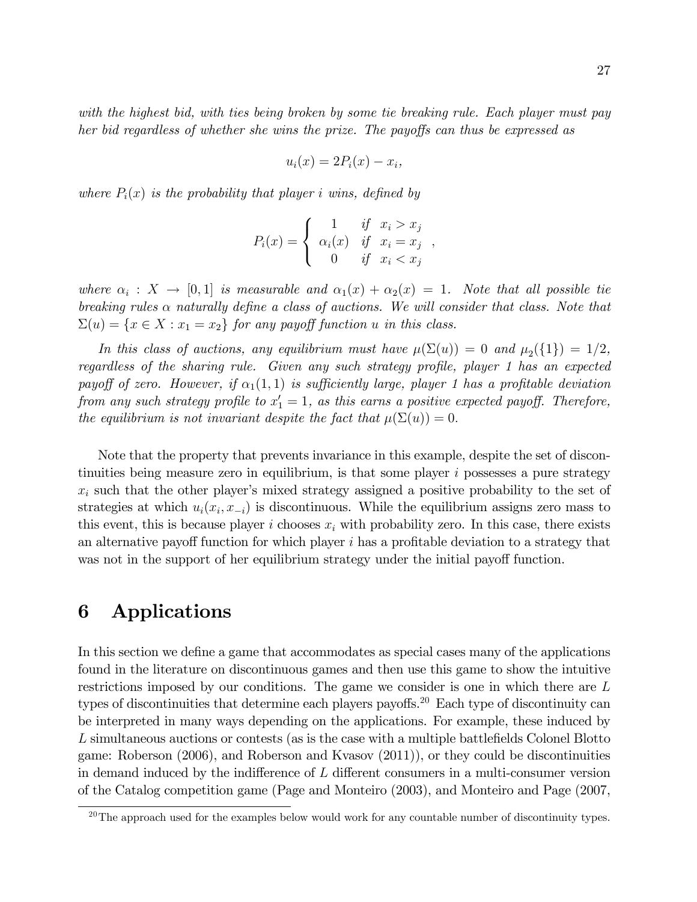with the highest bid, with ties being broken by some tie breaking rule. Each player must pay her bid regardless of whether she wins the prize. The payoffs can thus be expressed as

$$
u_i(x) = 2P_i(x) - x_i,
$$

where  $P_i(x)$  is the probability that player i wins, defined by

$$
P_i(x) = \begin{cases} 1 & \text{if } x_i > x_j \\ \alpha_i(x) & \text{if } x_i = x_j \\ 0 & \text{if } x_i < x_j \end{cases}
$$

;

where  $\alpha_i : X \to [0,1]$  is measurable and  $\alpha_1(x) + \alpha_2(x) = 1$ . Note that all possible tie breaking rules  $\alpha$  naturally define a class of auctions. We will consider that class. Note that  $\Sigma(u) = \{x \in X : x_1 = x_2\}$  for any payoff function u in this class.

In this class of auctions, any equilibrium must have  $\mu(\Sigma(u)) = 0$  and  $\mu_2(\{1\}) = 1/2$ , regardless of the sharing rule. Given any such strategy profile, player 1 has an expected payoff of zero. However, if  $\alpha_1(1,1)$  is sufficiently large, player 1 has a profitable deviation from any such strategy profile to  $x_1' = 1$ , as this earns a positive expected payoff. Therefore, the equilibrium is not invariant despite the fact that  $\mu(\Sigma(u)) = 0$ .

Note that the property that prevents invariance in this example, despite the set of discontinuities being measure zero in equilibrium, is that some player  $i$  possesses a pure strategy  $x_i$  such that the other player's mixed strategy assigned a positive probability to the set of strategies at which  $u_i(x_i, x_{-i})$  is discontinuous. While the equilibrium assigns zero mass to this event, this is because player i chooses  $x_i$  with probability zero. In this case, there exists an alternative payoff function for which player  $i$  has a profitable deviation to a strategy that was not in the support of her equilibrium strategy under the initial payoff function.

## 6 Applications

In this section we define a game that accommodates as special cases many of the applications found in the literature on discontinuous games and then use this game to show the intuitive restrictions imposed by our conditions. The game we consider is one in which there are L types of discontinuities that determine each players payoffs.<sup>20</sup> Each type of discontinuity can be interpreted in many ways depending on the applications. For example, these induced by L simultaneous auctions or contests (as is the case with a multiple battlefields Colonel Blotto game: Roberson (2006), and Roberson and Kvasov (2011)), or they could be discontinuities in demand induced by the indifference of  $L$  different consumers in a multi-consumer version of the Catalog competition game (Page and Monteiro (2003), and Monteiro and Page (2007,

 $20$ The approach used for the examples below would work for any countable number of discontinuity types.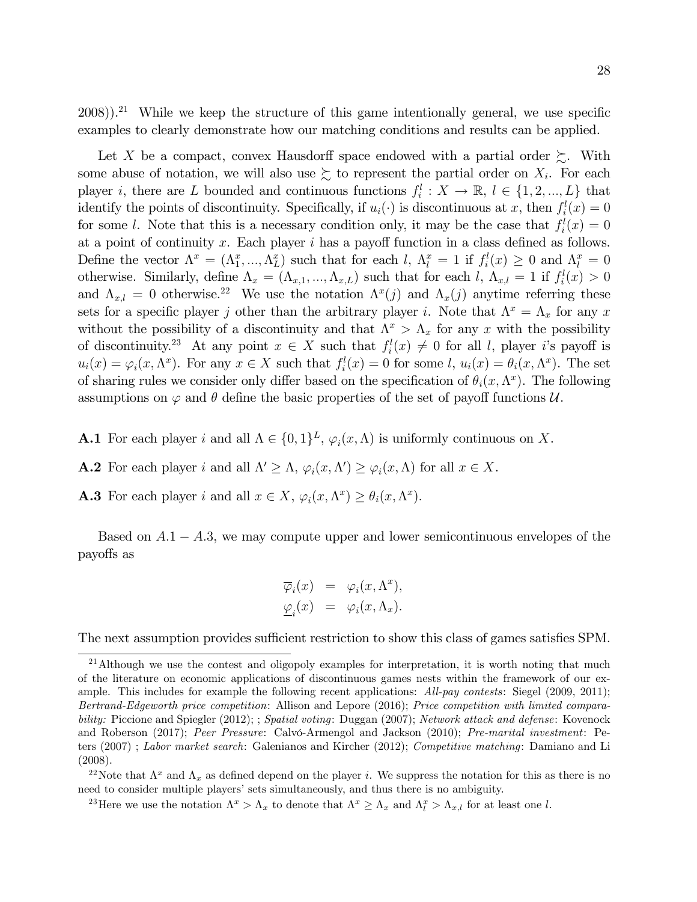$2008$ )).<sup>21</sup> While we keep the structure of this game intentionally general, we use specific examples to clearly demonstrate how our matching conditions and results can be applied.

Let X be a compact, convex Hausdorff space endowed with a partial order  $\succeq$ . With some abuse of notation, we will also use  $\succsim$  to represent the partial order on  $X_i$ . For each player *i*, there are L bounded and continuous functions  $f_i^l: X \to \mathbb{R}, l \in \{1, 2, ..., L\}$  that identify the points of discontinuity. Specifically, if  $u_i(\cdot)$  is discontinuous at x, then  $f_i^l(x) = 0$ for some l. Note that this is a necessary condition only, it may be the case that  $f_i^l(x) = 0$ at a point of continuity x. Each player  $i$  has a payoff function in a class defined as follows. Define the vector  $\Lambda^x = (\Lambda_1^x, ..., \Lambda_L^x)$  such that for each l,  $\Lambda_l^x = 1$  if  $f_i^l(x) \geq 0$  and  $\Lambda_l^x = 0$ otherwise. Similarly, define  $\Lambda_x = (\Lambda_{x,1},...,\Lambda_{x,L})$  such that for each  $l, \Lambda_{x,l} = 1$  if  $f_i^l(x) > 0$ and  $\Lambda_{x,l} = 0$  otherwise.<sup>22</sup> We use the notation  $\Lambda^x(j)$  and  $\Lambda_x(j)$  anytime referring these sets for a specific player j other than the arbitrary player i. Note that  $\Lambda^x = \Lambda_x$  for any x without the possibility of a discontinuity and that  $\Lambda^x > \Lambda_x$  for any x with the possibility of discontinuity.<sup>23</sup> At any point  $x \in X$  such that  $f_i^l(x) \neq 0$  for all l, player i's payoff is  $u_i(x) = \varphi_i(x, \Lambda^x)$ . For any  $x \in X$  such that  $f_i^l(x) = 0$  for some  $l, u_i(x) = \theta_i(x, \Lambda^x)$ . The set of sharing rules we consider only differ based on the specification of  $\theta_i(x, \Lambda^x)$ . The following assumptions on  $\varphi$  and  $\theta$  define the basic properties of the set of payoff functions  $\mathcal{U}$ .

- **A.1** For each player i and all  $\Lambda \in \{0, 1\}^L$ ,  $\varphi_i(x, \Lambda)$  is uniformly continuous on X.
- **A.2** For each player *i* and all  $\Lambda' \geq \Lambda$ ,  $\varphi_i(x, \Lambda') \geq \varphi_i(x, \Lambda)$  for all  $x \in X$ .
- **A.3** For each player i and all  $x \in X$ ,  $\varphi_i(x, \Lambda^x) \ge \theta_i(x, \Lambda^x)$ .

Based on  $A.1 - A.3$ , we may compute upper and lower semicontinuous envelopes of the payoffs as

$$
\overline{\varphi}_i(x) = \varphi_i(x, \Lambda^x),
$$
  

$$
\underline{\varphi}_i(x) = \varphi_i(x, \Lambda_x).
$$

The next assumption provides sufficient restriction to show this class of games satisfies SPM.

<sup>22</sup>Note that  $\Lambda^x$  and  $\Lambda_x$  as defined depend on the player *i*. We suppress the notation for this as there is no need to consider multiple players' sets simultaneously, and thus there is no ambiguity.

<sup>23</sup>Here we use the notation  $\Lambda^x > \Lambda_x$  to denote that  $\Lambda^x \geq \Lambda_x$  and  $\Lambda_t^x > \Lambda_{x,l}$  for at least one l.

<sup>&</sup>lt;sup>21</sup>Although we use the contest and oligopoly examples for interpretation, it is worth noting that much of the literature on economic applications of discontinuous games nests within the framework of our example. This includes for example the following recent applications: All-pay contests: Siegel (2009, 2011); Bertrand-Edgeworth price competition: Allison and Lepore (2016); Price competition with limited comparability: Piccione and Spiegler (2012); ; Spatial voting: Duggan (2007); Network attack and defense: Kovenock and Roberson (2017); Peer Pressure: Calvó-Armengol and Jackson (2010); Pre-marital investment: Peters (2007) ; Labor market search: Galenianos and Kircher (2012); Competitive matching: Damiano and Li (2008).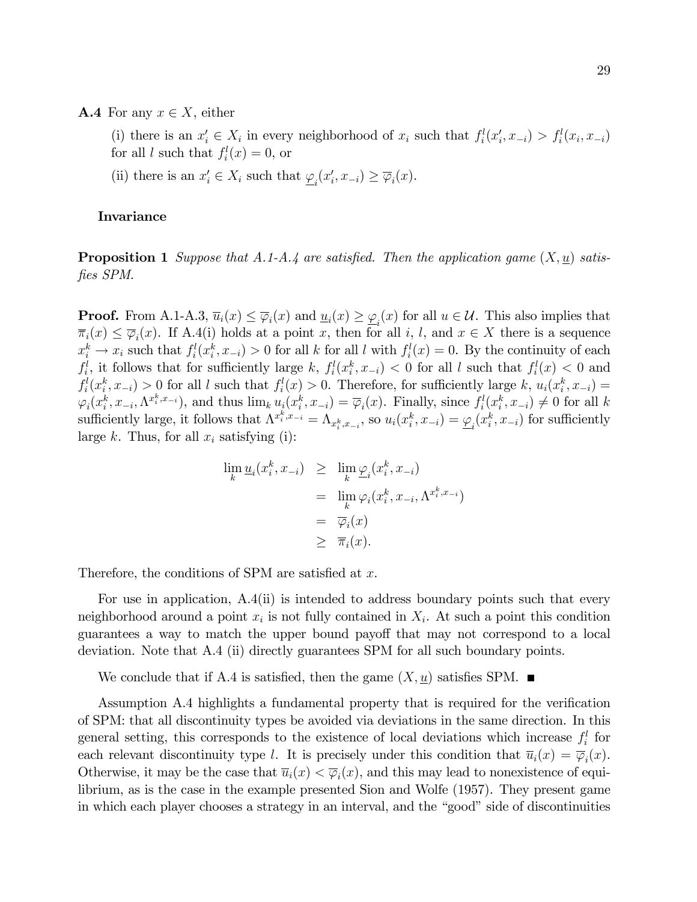**A.4** For any  $x \in X$ , either

(i) there is an  $x'_i \in X_i$  in every neighborhood of  $x_i$  such that  $f_i^l(x'_i, x_{-i}) > f_i^l(x_i, x_{-i})$ for all l such that  $f_i^l(x) = 0$ , or

(ii) there is an  $x'_i \in X_i$  such that  $\underline{\varphi}_i(x'_i, x_{-i}) \ge \overline{\varphi}_i(x)$ .

### **Invariance**

**Proposition 1** Suppose that A.1-A.4 are satisfied. Then the application game  $(X, \underline{u})$  satisfies SPM.

**Proof.** From A.1-A.3,  $\overline{u}_i(x) \leq \overline{\varphi}_i(x)$  and  $\underline{u}_i(x) \geq \underline{\varphi}_i(x)$  for all  $u \in \mathcal{U}$ . This also implies that  $\overline{\pi}_i(x) \leq \overline{\varphi}_i(x)$ . If A.4(i) holds at a point x, then for all i, l, and  $x \in X$  there is a sequence  $x_i^k \to x_i$  such that  $f_i^l(x_i^k, x_{-i}) > 0$  for all k for all l with  $f_i^l(x) = 0$ . By the continuity of each  $f_i^l$ , it follows that for sufficiently large k,  $f_i^l(x_i^k, x_{-i}) < 0$  for all l such that  $f_i^l(x) < 0$  and  $f_i^l(x_i^k, x_{-i}) > 0$  for all l such that  $f_i^l(x) > 0$ . Therefore, for sufficiently large k,  $u_i(x_i^k, x_{-i}) =$  $\varphi_i(x_i^k, x_{-i}, \Lambda^{x_i^k, x_{-i}})$ , and thus  $\lim_k u_i(x_i^k, x_{-i}) = \overline{\varphi}_i(x)$ . Finally, since  $f_i^l(x_i^k, x_{-i}) \neq 0$  for all k sufficiently large, it follows that  $\Lambda^{x_i^k, x_{-i}} = \Lambda_{x_i^k, x_{-i}}$ , so  $u_i(x_i^k, x_{-i}) = \underline{\varphi}_i(x_i^k, x_{-i})$  for sufficiently large k. Thus, for all  $x_i$  satisfying (i):

$$
\lim_{k} \underline{u}_{i}(x_{i}^{k}, x_{-i}) \geq \lim_{k} \underline{\varphi}_{i}(x_{i}^{k}, x_{-i})
$$
\n
$$
= \lim_{k} \varphi_{i}(x_{i}^{k}, x_{-i}, \Lambda^{x_{i}^{k}, x_{-i}})
$$
\n
$$
= \overline{\varphi}_{i}(x)
$$
\n
$$
\geq \overline{\pi}_{i}(x).
$$

Therefore, the conditions of SPM are satisfied at  $x$ .

For use in application, A.4(ii) is intended to address boundary points such that every neighborhood around a point  $x_i$  is not fully contained in  $X_i$ . At such a point this condition guarantees a way to match the upper bound payoff that may not correspond to a local deviation. Note that A.4 (ii) directly guarantees SPM for all such boundary points.

We conclude that if A.4 is satisfied, then the game  $(X, u)$  satisfies SPM.

Assumption A.4 highlights a fundamental property that is required for the verification of SPM: that all discontinuity types be avoided via deviations in the same direction. In this general setting, this corresponds to the existence of local deviations which increase  $f_i^l$  for each relevant discontinuity type l. It is precisely under this condition that  $\overline{u}_i(x) = \overline{\varphi}_i(x)$ . Otherwise, it may be the case that  $\overline{u}_i(x) < \overline{\varphi}_i(x)$ , and this may lead to nonexistence of equilibrium, as is the case in the example presented Sion and Wolfe (1957). They present game in which each player chooses a strategy in an interval, and the "good" side of discontinuities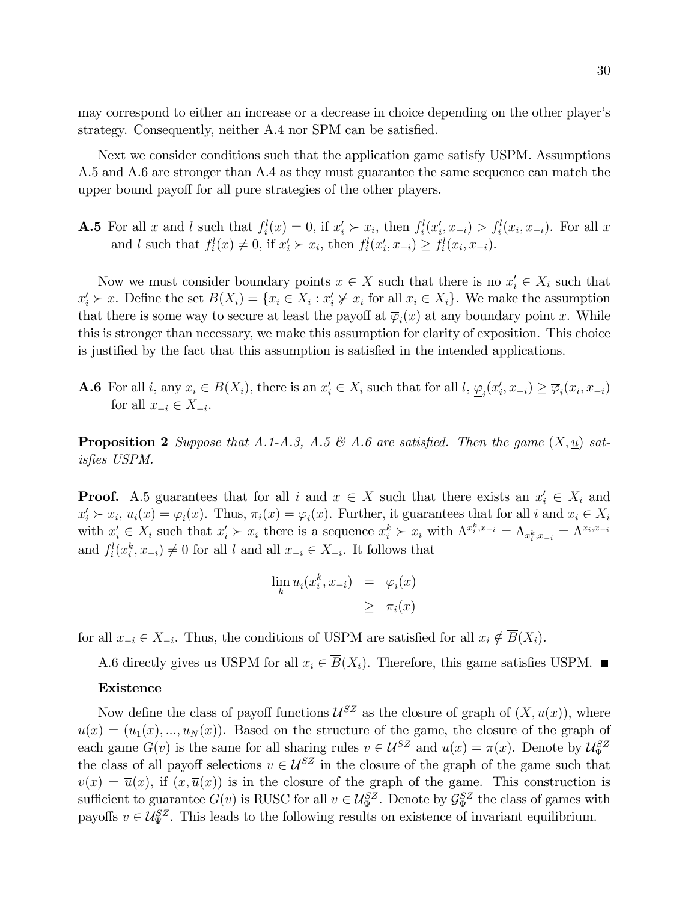may correspond to either an increase or a decrease in choice depending on the other player's strategy. Consequently, neither A.4 nor SPM can be satisfied.

Next we consider conditions such that the application game satisfy USPM. Assumptions A.5 and A.6 are stronger than A.4 as they must guarantee the same sequence can match the upper bound payoff for all pure strategies of the other players.

**A.5** For all x and l such that  $f_i^l(x) = 0$ , if  $x_i' \succ x_i$ , then  $f_i^l(x_i', x_{-i}) > f_i^l(x_i, x_{-i})$ . For all x and l such that  $f_i^l(x) \neq 0$ , if  $x'_i \succ x_i$ , then  $f_i^l(x'_i, x_{-i}) \geq f_i^l(x_i, x_{-i})$ .

Now we must consider boundary points  $x \in X$  such that there is no  $x'_{i} \in X_{i}$  such that  $x'_i \succ x$ . Define the set  $B(X_i) = \{x_i \in X_i : x'_i \not\succ x_i \text{ for all } x_i \in X_i\}$ . We make the assumption that there is some way to secure at least the payoff at  $\overline{\varphi}_i(x)$  at any boundary point x. While this is stronger than necessary, we make this assumption for clarity of exposition. This choice is justified by the fact that this assumption is satisfied in the intended applications.

**A.6** For all *i*, any  $x_i \in B(X_i)$ , there is an  $x'_i \in X_i$  such that for all  $l, \underline{\varphi}_i(x'_i, x_{-i}) \ge \overline{\varphi}_i(x_i, x_{-i})$ for all  $x_{-i} \in X_{-i}$ .

**Proposition 2** Suppose that A.1-A.3, A.5  $\mathcal{B}$  A.6 are satisfied. Then the game  $(X, \underline{u})$  satisfies USPM.

**Proof.** A.5 guarantees that for all i and  $x \in X$  such that there exists an  $x_i' \in X_i$  and  $x'_i \succ x_i$ ,  $\overline{u}_i(x) = \overline{\varphi}_i(x)$ . Thus,  $\overline{\pi}_i(x) = \overline{\varphi}_i(x)$ . Further, it guarantees that for all i and  $x_i \in X_i$ with  $x'_i \in X_i$  such that  $x'_i \succ x_i$  there is a sequence  $x_i^k \succ x_i$  with  $\Lambda^{x_i^k, x_{-i}} = \Lambda_{x_i^k, x_{-i}} = \Lambda^{x_i, x_{-i}}$ and  $f_i^l(x_i^k, x_{-i}) \neq 0$  for all l and all  $x_{-i} \in X_{-i}$ . It follows that

$$
\lim_{k} \underline{u}_{i}(x_{i}^{k}, x_{-i}) = \overline{\varphi}_{i}(x) \newline \geq \overline{\pi}_{i}(x)
$$

for all  $x_{-i} \in X_{-i}$ . Thus, the conditions of USPM are satisfied for all  $x_i \notin B(X_i)$ .

A.6 directly gives us USPM for all  $x_i \in \overline{B}(X_i)$ . Therefore, this game satisfies USPM.

### Existence

Now define the class of payoff functions  $\mathcal{U}^{SZ}$  as the closure of graph of  $(X, u(x))$ , where  $u(x) = (u_1(x), ..., u_N(x))$ . Based on the structure of the game, the closure of the graph of each game  $G(v)$  is the same for all sharing rules  $v \in \mathcal{U}^{SZ}$  and  $\overline{u}(x) = \overline{\pi}(x)$ . Denote by  $\mathcal{U}_{\Psi}^{SZ}$ the class of all payoff selections  $v \in \mathcal{U}^{SZ}$  in the closure of the graph of the game such that  $v(x) = \overline{u}(x)$ , if  $(x, \overline{u}(x))$  is in the closure of the graph of the game. This construction is sufficient to guarantee  $G(v)$  is RUSC for all  $v \in \mathcal{U}_{\Psi}^{SZ}$ . Denote by  $\mathcal{G}_{\Psi}^{SZ}$  the class of games with payoffs  $v \in \mathcal{U}_{\Psi}^{SZ}$ . This leads to the following results on existence of invariant equilibrium.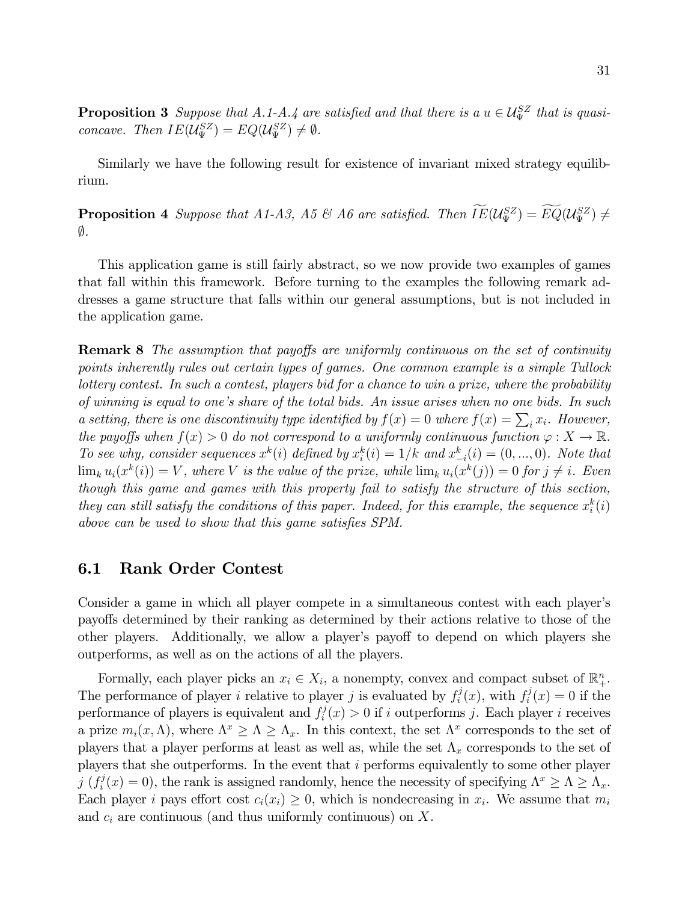**Proposition 3** Suppose that A.1-A.4 are satisfied and that there is a  $u \in \mathcal{U}_{\Psi}^{SZ}$  that is quasiconcave. Then  $IE(\mathcal{U}_{\Psi}^{SZ}) = EQ(\mathcal{U}_{\Psi}^{SZ}) \neq \emptyset$ .

Similarly we have the following result for existence of invariant mixed strategy equilibrium.

**Proposition 4** Suppose that A1-A3, A5 & A6 are satisfied. Then  $IE(\mathcal{U}_{\Psi}^{SZ}) = E\overline{Q}(\mathcal{U}_{\Psi}^{SZ}) \neq$  $\emptyset$ .

This application game is still fairly abstract, so we now provide two examples of games that fall within this framework. Before turning to the examples the following remark addresses a game structure that falls within our general assumptions, but is not included in the application game.

**Remark 8** The assumption that payoffs are uniformly continuous on the set of continuity points inherently rules out certain types of games. One common example is a simple Tullock lottery contest. In such a contest, players bid for a chance to win a prize, where the probability of winning is equal to one's share of the total bids. An issue arises when no one bids. In such a setting, there is one discontinuity type identified by  $f(x) = 0$  where  $f(x) = \sum_i x_i$ . However, the payoffs when  $f(x) > 0$  do not correspond to a uniformly continuous function  $\varphi : X \to \mathbb{R}$ . To see why, consider sequences  $x^k(i)$  defined by  $x_i^k(i) = 1/k$  and  $x_{-i}^k(i) = (0, ..., 0)$ . Note that  $\lim_k u_i(x^k(i)) = V$ , where V is the value of the prize, while  $\lim_k u_i(x^k(j)) = 0$  for  $j \neq i$ . Even though this game and games with this property fail to satisfy the structure of this section, they can still satisfy the conditions of this paper. Indeed, for this example, the sequence  $x_i^k(i)$ above can be used to show that this game satisfies SPM.

## 6.1 Rank Order Contest

Consider a game in which all player compete in a simultaneous contest with each player's payo§s determined by their ranking as determined by their actions relative to those of the other players. Additionally, we allow a player's payoff to depend on which players she outperforms, as well as on the actions of all the players.

Formally, each player picks an  $x_i \in X_i$ , a nonempty, convex and compact subset of  $\mathbb{R}^n_+$ . The performance of player i relative to player j is evaluated by  $f_i^j$  $f_i^j(x)$ , with  $f_i^j$  $i^j(x) = 0$  if the performance of players is equivalent and  $f_i^j$  $i<sup>j</sup>(x) > 0$  if i outperforms j. Each player i receives a prize  $m_i(x, \Lambda)$ , where  $\Lambda^x \geq \Lambda \geq \Lambda_x$ . In this context, the set  $\Lambda^x$  corresponds to the set of players that a player performs at least as well as, while the set  $\Lambda_x$  corresponds to the set of players that she outperforms. In the event that i performs equivalently to some other player  $j \; (f_i^j$  $i(x) = 0$ , the rank is assigned randomly, hence the necessity of specifying  $\Lambda^x \ge \Lambda \ge \Lambda_x$ . Each player *i* pays effort cost  $c_i(x_i) \geq 0$ , which is nondecreasing in  $x_i$ . We assume that  $m_i$ and  $c_i$  are continuous (and thus uniformly continuous) on X.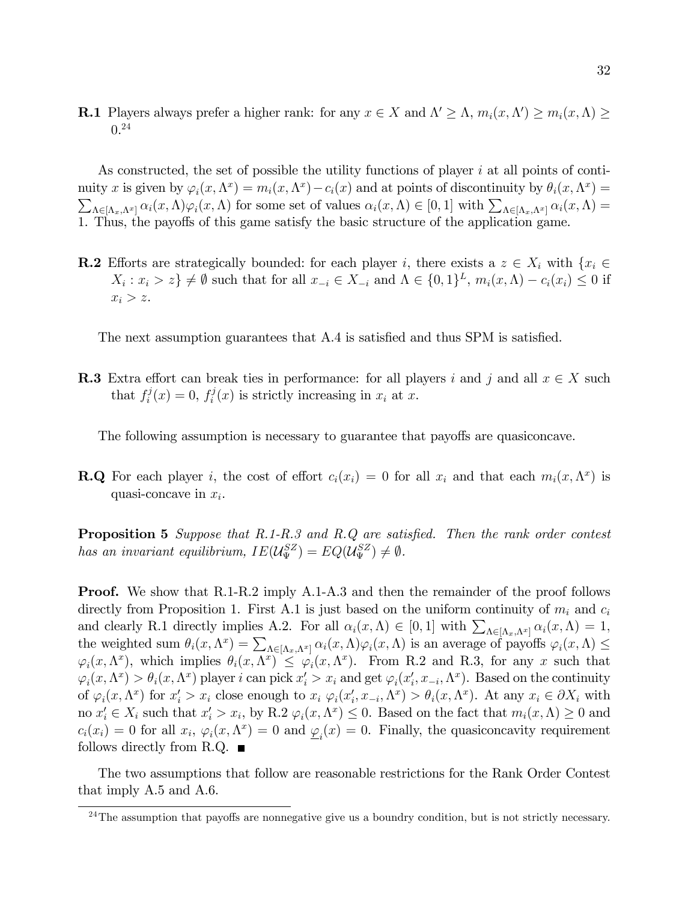**R.1** Players always prefer a higher rank: for any  $x \in X$  and  $\Lambda' \geq \Lambda$ ,  $m_i(x, \Lambda') \geq m_i(x, \Lambda) \geq$  $0.24$ 

As constructed, the set of possible the utility functions of player  $i$  at all points of continuity x is given by  $\varphi_i(x, \Lambda^x) = m_i(x, \Lambda^x) - c_i(x)$  and at points of discontinuity by  $\theta_i(x, \Lambda^x) =$  $\sum_{\Lambda \in [\Lambda_x,\Lambda^x]} \alpha_i(x,\Lambda) \varphi_i(x,\Lambda)$  for some set of values  $\alpha_i(x,\Lambda) \in [0,1]$  with  $\sum_{\Lambda \in [\Lambda_x,\Lambda^x]} \alpha_i(x,\Lambda) =$ 1. Thus, the payoffs of this game satisfy the basic structure of the application game.

**R.2** Efforts are strategically bounded: for each player i, there exists a  $z \in X_i$  with  $\{x_i \in X_i\}$  $X_i: x_i > z$   $\neq \emptyset$  such that for all  $x_{-i} \in X_{-i}$  and  $\Lambda \in \{0,1\}^L$ ,  $m_i(x,\Lambda) - c_i(x_i) \leq 0$  if  $x_i > z$ .

The next assumption guarantees that A.4 is satisfied and thus SPM is satisfied.

**R.3** Extra effort can break ties in performance: for all players i and j and all  $x \in X$  such that  $f_i^j$  $f_i^j(x) = 0, f_i^j$  $i^{\prime\prime}(x)$  is strictly increasing in  $x_i$  at x.

The following assumption is necessary to guarantee that payoffs are quasiconcave.

**R.Q** For each player i, the cost of effort  $c_i(x_i) = 0$  for all  $x_i$  and that each  $m_i(x, \Lambda^x)$  is quasi-concave in  $x_i$ .

**Proposition 5** Suppose that  $R.1-R.3$  and  $R.Q$  are satisfied. Then the rank order contest has an invariant equilibrium,  $IE(\mathcal{U}_{\Psi}^{SZ}) = EQ(\mathcal{U}_{\Psi}^{SZ}) \neq \emptyset$ .

**Proof.** We show that R.1-R.2 imply A.1-A.3 and then the remainder of the proof follows directly from Proposition 1. First A.1 is just based on the uniform continuity of  $m_i$  and  $c_i$ and clearly R.1 directly implies A.2. For all  $\alpha_i(x,\Lambda) \in [0,1]$  with  $\sum_{\Lambda \in [\Lambda_x,\Lambda^x]} \alpha_i(x,\Lambda) = 1$ ; the weighted sum  $\theta_i(x, \Lambda^x) = \sum_{\Lambda \in [\Lambda_x, \Lambda^x]} \alpha_i(x, \Lambda) \varphi_i(x, \Lambda)$  is an average of payoffs  $\varphi_i(x, \Lambda) \le$  $\varphi_i(x, \Lambda^x)$ , which implies  $\theta_i(x, \Lambda^x) \leq \varphi_i(x, \Lambda^x)$ . From R.2 and R.3, for any x such that  $\varphi_i(x, \Lambda^x) > \theta_i(x, \Lambda^x)$  player i can pick  $x'_i > x_i$  and get  $\varphi_i(x'_i, x_{-i}, \Lambda^x)$ . Based on the continuity of  $\varphi_i(x, \Lambda^x)$  for  $x_i' > x_i$  close enough to  $x_i \varphi_i(x_i', x_{-i}, \Lambda^x) > \theta_i(x, \Lambda^x)$ . At any  $x_i \in \partial X_i$  with no  $x'_i \in X_i$  such that  $x'_i > x_i$ , by R.2  $\varphi_i(x, \Lambda^x) \leq 0$ . Based on the fact that  $m_i(x, \Lambda) \geq 0$  and  $c_i(x_i) = 0$  for all  $x_i$ ,  $\varphi_i(x, \Lambda^x) = 0$  and  $\underline{\varphi}_i(x) = 0$ . Finally, the quasiconcavity requirement follows directly from R.Q.  $\blacksquare$ 

The two assumptions that follow are reasonable restrictions for the Rank Order Contest that imply A.5 and A.6.

 $^{24}$ The assumption that payoffs are nonnegative give us a boundry condition, but is not strictly necessary.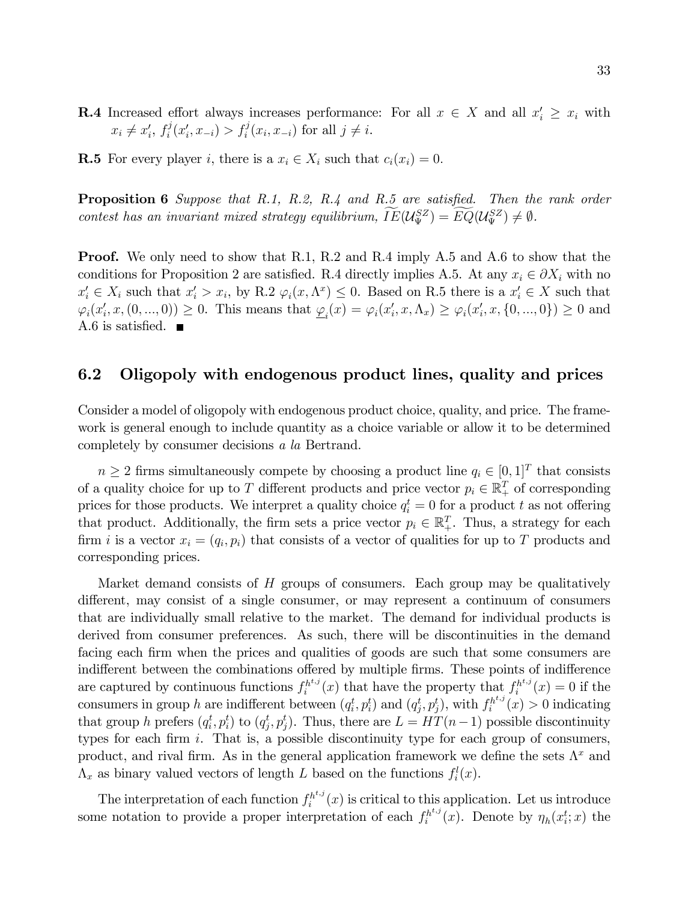- **R.4** Increased effort always increases performance: For all  $x \in X$  and all  $x'_i \geq x_i$  with  $x_i \neq x'_i, f_i^j$  $f_i^j(x'_i, x_{-i}) > f_i^j(x_i, x_{-i})$  for all  $j \neq i$ .
- **R.5** For every player i, there is a  $x_i \in X_i$  such that  $c_i(x_i) = 0$ .

**Proposition 6** Suppose that R.1, R.2, R.4 and R.5 are satisfied. Then the rank order contest has an invariant mixed strategy equilibrium,  $IE(\mathcal{U}_{\Psi}^{SZ}) = EQ(\mathcal{U}_{\Psi}^{SZ}) \neq \emptyset$ .

**Proof.** We only need to show that R.1, R.2 and R.4 imply A.5 and A.6 to show that the conditions for Proposition 2 are satisfied. R.4 directly implies A.5. At any  $x_i \in \partial X_i$  with no  $x'_i \in X_i$  such that  $x'_i > x_i$ , by R.2  $\varphi_i(x, \Lambda^x) \leq 0$ . Based on R.5 there is a  $x'_i \in X$  such that  $\varphi_i(x'_i, x, (0, ..., 0)) \ge 0$ . This means that  $\underline{\varphi}_i(x) = \varphi_i(x'_i, x, \Lambda_x) \ge \varphi_i(x'_i, x, \{0, ..., 0\}) \ge 0$  and A.6 is satisfied.  $\blacksquare$ 

## 6.2 Oligopoly with endogenous product lines, quality and prices

Consider a model of oligopoly with endogenous product choice, quality, and price. The framework is general enough to include quantity as a choice variable or allow it to be determined completely by consumer decisions a la Bertrand.

 $n \geq 2$  firms simultaneously compete by choosing a product line  $q_i \in [0, 1]^T$  that consists of a quality choice for up to T different products and price vector  $p_i \in \mathbb{R}^T_+$  of corresponding prices for those products. We interpret a quality choice  $q_i^t = 0$  for a product t as not offering that product. Additionally, the firm sets a price vector  $p_i \in \mathbb{R}_+^T$ . Thus, a strategy for each firm i is a vector  $x_i = (q_i, p_i)$  that consists of a vector of qualities for up to T products and corresponding prices.

Market demand consists of H groups of consumers. Each group may be qualitatively different, may consist of a single consumer, or may represent a continuum of consumers that are individually small relative to the market. The demand for individual products is derived from consumer preferences. As such, there will be discontinuities in the demand facing each firm when the prices and qualities of goods are such that some consumers are indifferent between the combinations offered by multiple firms. These points of indifference are captured by continuous functions  $f_i^{h^{t,j}}$  $f_i^{h^{t,j}}(x)$  that have the property that  $f_i^{h^{t,j}}$  $i^{h^{i,j}}(x) = 0$  if the consumers in group h are indifferent between  $(q_i^t, p_i^t)$  and  $(q_j^t, p_j^t)$ , with  $f_i^{h^{t,j}}$  $i^{h^{i,j}}(x) > 0$  indicating that group h prefers  $(q_i^t, p_i^t)$  to  $(q_j^t, p_j^t)$ . Thus, there are  $L = HT(n-1)$  possible discontinuity types for each firm  $i$ . That is, a possible discontinuity type for each group of consumers, product, and rival firm. As in the general application framework we define the sets  $\Lambda^x$  and  $\Lambda_x$  as binary valued vectors of length L based on the functions  $f_i^l(x)$ .

The interpretation of each function  $f_i^{h^{t,j}}$  $i^{h^{i,j}}(x)$  is critical to this application. Let us introduce some notation to provide a proper interpretation of each  $f_i^{h^{t,j}}$  $\eta_h^{h^{t,j}}(x)$ . Denote by  $\eta_h(x_i^t; x)$  the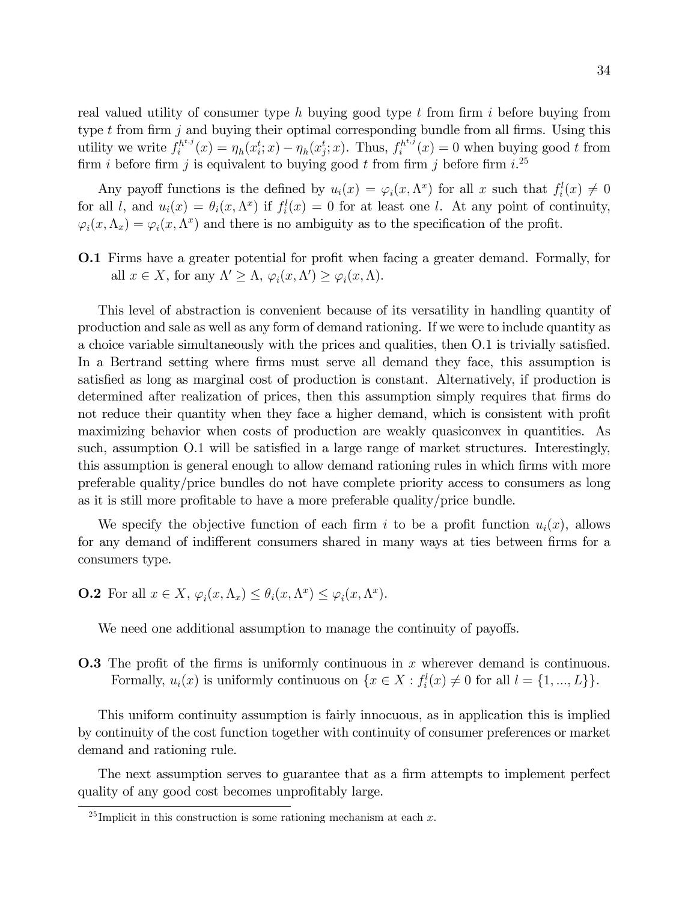real valued utility of consumer type h buying good type  $t$  from firm i before buying from type  $t$  from firm  $j$  and buying their optimal corresponding bundle from all firms. Using this utility we write  $f_i^{h^{t,j}}$  $i^{h^{t,j}}(x) = \eta_h(x_i^t; x) - \eta_h(x_j^t; x)$ . Thus,  $f_i^{h^{t,j}}$  $i^{h^{i,j}}(x) = 0$  when buying good t from firm i before firm j is equivalent to buying good t from firm j before firm  $i$ .<sup>25</sup>

Any payoff functions is the defined by  $u_i(x) = \varphi_i(x, \Lambda^x)$  for all x such that  $f_i^l(x) \neq 0$ for all l, and  $u_i(x) = \theta_i(x, \Lambda^x)$  if  $f_i^l(x) = 0$  for at least one l. At any point of continuity,  $\varphi_i(x, \Lambda_x) = \varphi_i(x, \Lambda^x)$  and there is no ambiguity as to the specification of the profit.

**O.1** Firms have a greater potential for profit when facing a greater demand. Formally, for all  $x \in X$ , for any  $\Lambda' \geq \Lambda$ ,  $\varphi_i(x, \Lambda') \geq \varphi_i(x, \Lambda)$ .

This level of abstraction is convenient because of its versatility in handling quantity of production and sale as well as any form of demand rationing. If we were to include quantity as a choice variable simultaneously with the prices and qualities, then O.1 is trivially satisfied. In a Bertrand setting where firms must serve all demand they face, this assumption is satisfied as long as marginal cost of production is constant. Alternatively, if production is determined after realization of prices, then this assumption simply requires that firms do not reduce their quantity when they face a higher demand, which is consistent with profit maximizing behavior when costs of production are weakly quasiconvex in quantities. As such, assumption O.1 will be satisfied in a large range of market structures. Interestingly, this assumption is general enough to allow demand rationing rules in which firms with more preferable quality/price bundles do not have complete priority access to consumers as long as it is still more profitable to have a more preferable quality/price bundle.

We specify the objective function of each firm i to be a profit function  $u_i(x)$ , allows for any demand of indifferent consumers shared in many ways at ties between firms for a consumers type.

**O.2** For all  $x \in X$ ,  $\varphi_i(x, \Lambda_x) \leq \theta_i(x, \Lambda^x) \leq \varphi_i(x, \Lambda^x)$ .

We need one additional assumption to manage the continuity of payoffs.

**O.3** The profit of the firms is uniformly continuous in x wherever demand is continuous. Formally,  $u_i(x)$  is uniformly continuous on  $\{x \in X : f_i^l(x) \neq 0 \text{ for all } l = \{1, ..., L\}\}.$ 

This uniform continuity assumption is fairly innocuous, as in application this is implied by continuity of the cost function together with continuity of consumer preferences or market demand and rationing rule.

The next assumption serves to guarantee that as a firm attempts to implement perfect quality of any good cost becomes unprofitably large.

<sup>&</sup>lt;sup>25</sup> Implicit in this construction is some rationing mechanism at each  $x$ .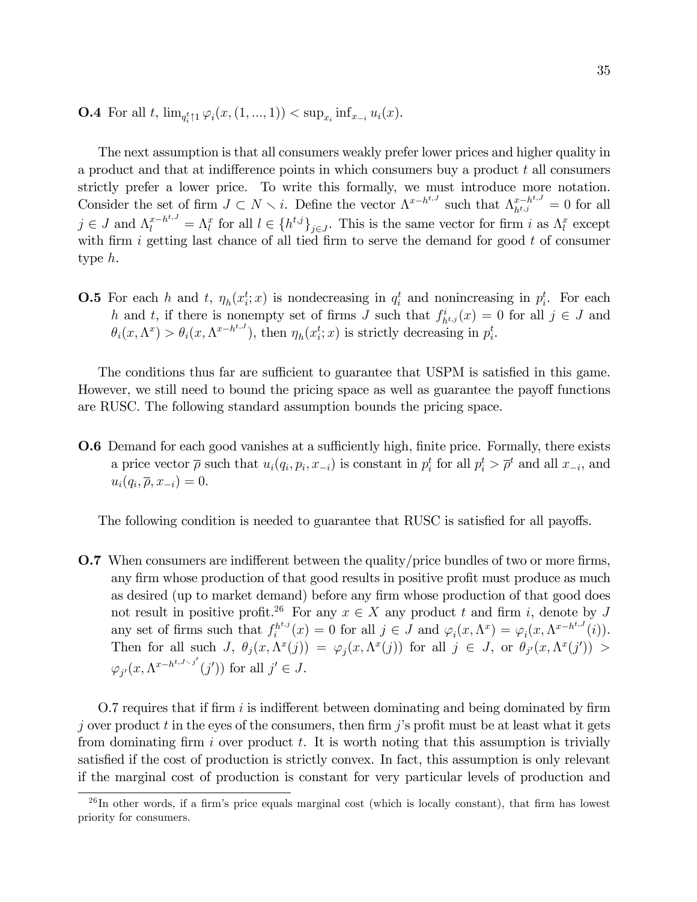**O.4** For all t,  $\lim_{q_i^t \uparrow 1} \varphi_i(x,(1,...,1)) < \sup_{x_i} \inf_{x_{-i}} u_i(x)$ .

The next assumption is that all consumers weakly prefer lower prices and higher quality in a product and that at indifference points in which consumers buy a product  $t$  all consumers strictly prefer a lower price. To write this formally, we must introduce more notation. Consider the set of firm  $J \subset N \setminus i$ . Define the vector  $\Lambda^{x-h^{t,J}}$  such that  $\Lambda^{x-h^{t,J}}_{h^{t,j}} = 0$  for all  $j \in J$  and  $\Lambda_l^{x-h^{t,J}} = \Lambda_l^x$  for all  $l \in \{h^{t,j}\}_{j \in J}$ . This is the same vector for firm i as  $\Lambda_l^x$  except with firm i getting last chance of all tied firm to serve the demand for good  $t$  of consumer type h.

**O.5** For each h and t,  $\eta_h(x_i^t; x)$  is nondecreasing in  $q_i^t$  and nonincreasing in  $p_i^t$ . For each h and t, if there is nonempty set of firms J such that  $f_{h^{t,j}}^i(x) = 0$  for all  $j \in J$  and  $\theta_i(x, \Lambda^x) > \theta_i(x, \Lambda^{x-h^{t,J}})$ , then  $\eta_h(x_i^t; x)$  is strictly decreasing in  $p_i^t$ .

The conditions thus far are sufficient to guarantee that USPM is satisfied in this game. However, we still need to bound the pricing space as well as guarantee the payoff functions are RUSC. The following standard assumption bounds the pricing space.

**O.6** Demand for each good vanishes at a sufficiently high, finite price. Formally, there exists a price vector  $\bar{\rho}$  such that  $u_i(q_i, p_i, x_{-i})$  is constant in  $p_i^t$  for all  $p_i^t > \bar{\rho}^t$  and all  $x_{-i}$ , and  $u_i(q_i, \overline{\rho}, x_{-i}) = 0.$ 

The following condition is needed to guarantee that RUSC is satisfied for all payoffs.

**O.7** When consumers are indifferent between the quality/price bundles of two or more firms, any firm whose production of that good results in positive profit must produce as much as desired (up to market demand) before any firm whose production of that good does not result in positive profit.<sup>26</sup> For any  $x \in X$  any product t and firm i, denote by J any set of firms such that  $f_i^{h^{t,j}}$  $i^{h^{t,j}}(x) = 0$  for all  $j \in J$  and  $\varphi_i(x, \Lambda^x) = \varphi_i(x, \Lambda^{x-h^{t,J}}(i)).$ Then for all such  $J, \theta_j(x, \Lambda^x(j)) = \varphi_j(x, \Lambda^x(j))$  for all  $j \in J$ , or  $\theta_{j'}(x, \Lambda^x(j')) >$  $\varphi_{j'}(x, \Lambda^{x-h^{t,J\setminus j'}}(j'))$  for all  $j' \in J$ .

O.7 requires that if firm  $i$  is indifferent between dominating and being dominated by firm j over product t in the eyes of the consumers, then firm j's profit must be at least what it gets from dominating firm i over product  $t$ . It is worth noting that this assumption is trivially satisfied if the cost of production is strictly convex. In fact, this assumption is only relevant if the marginal cost of production is constant for very particular levels of production and

 $^{26}$ In other words, if a firm's price equals marginal cost (which is locally constant), that firm has lowest priority for consumers.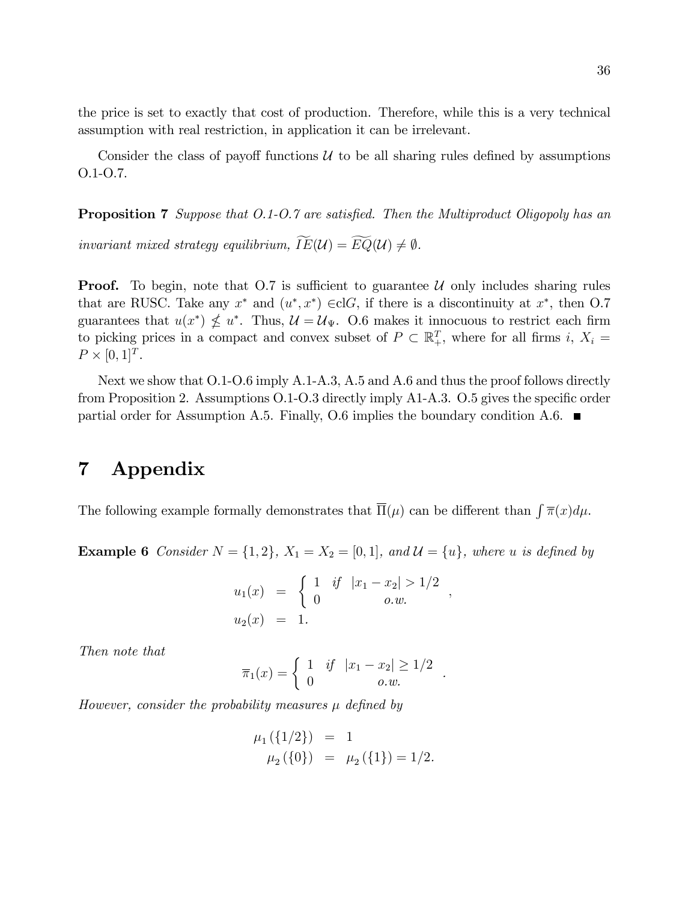the price is set to exactly that cost of production. Therefore, while this is a very technical assumption with real restriction, in application it can be irrelevant.

Consider the class of payoff functions  $U$  to be all sharing rules defined by assumptions O.1-O.7.

**Proposition 7** Suppose that 0.1-0.7 are satisfied. Then the Multiproduct Oligopoly has an

invariant mixed strategy equilibrium,  $\widetilde{IE}(\mathcal{U}) = \widetilde{EQ}(\mathcal{U}) \neq \emptyset$ .

**Proof.** To begin, note that  $O.7$  is sufficient to guarantee U only includes sharing rules that are RUSC. Take any  $x^*$  and  $(u^*, x^*) \in \text{cl}G$ , if there is a discontinuity at  $x^*$ , then O.7 guarantees that  $u(x^*) \nleq u^*$ . Thus,  $\mathcal{U} = \mathcal{U}_{\Psi}$ . O.6 makes it innocuous to restrict each firm to picking prices in a compact and convex subset of  $P \subset \mathbb{R}^T_+$ , where for all firms i,  $X_i =$  $P \times [0, 1]^T$ .

Next we show that O.1-O.6 imply A.1-A.3, A.5 and A.6 and thus the proof follows directly from Proposition 2. Assumptions  $0.1$ - $0.3$  directly imply A1-A.3.  $0.5$  gives the specific order partial order for Assumption A.5. Finally, O.6 implies the boundary condition A.6.  $\blacksquare$ 

# 7 Appendix

The following example formally demonstrates that  $\overline{\Pi}(\mu)$  can be different than  $\int \overline{\pi}(x) d\mu$ .

**Example 6** Consider  $N = \{1, 2\}$ ,  $X_1 = X_2 = [0, 1]$ , and  $\mathcal{U} = \{u\}$ , where u is defined by

$$
u_1(x) = \begin{cases} 1 & \text{if } |x_1 - x_2| > 1/2 \\ 0 & \text{o.w.} \end{cases}
$$
  

$$
u_2(x) = 1.
$$

;

.

Then note that

$$
\overline{\pi}_1(x) = \begin{cases} 1 & \text{if } |x_1 - x_2| \ge 1/2 \\ 0 & o.w. \end{cases}
$$

However, consider the probability measures  $\mu$  defined by

$$
\mu_1({1/2}) = 1 \n\mu_2({0}) = \mu_2({1}) = 1/2.
$$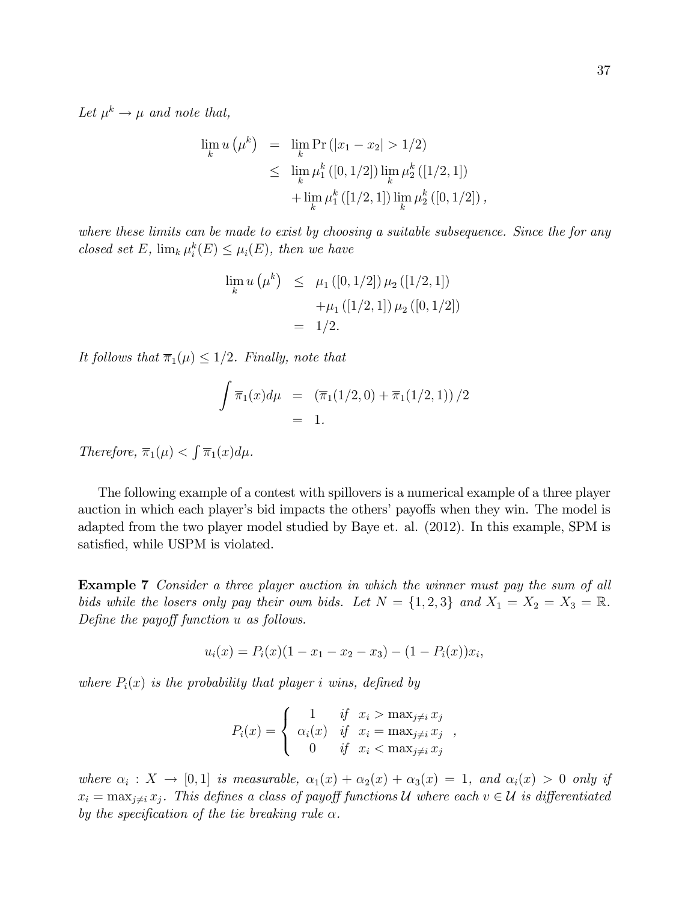Let  $\mu^k \to \mu$  and note that,

$$
\lim_{k} u(\mu^{k}) = \lim_{k} \Pr(|x_{1} - x_{2}| > 1/2)
$$
  
\n
$$
\leq \lim_{k} \mu_{1}^{k} ([0, 1/2]) \lim_{k} \mu_{2}^{k} ([1/2, 1])
$$
  
\n
$$
+ \lim_{k} \mu_{1}^{k} ([1/2, 1]) \lim_{k} \mu_{2}^{k} ([0, 1/2]),
$$

where these limits can be made to exist by choosing a suitable subsequence. Since the for any closed set E,  $\lim_k \mu_i^k(E) \leq \mu_i(E)$ , then we have

$$
\lim_{k} u(\mu^{k}) \leq \mu_{1}([0,1/2]) \mu_{2}([1/2,1])
$$

$$
+ \mu_{1}([1/2,1]) \mu_{2}([0,1/2])
$$

$$
= 1/2.
$$

It follows that  $\overline{\pi}_1(\mu) \leq 1/2$ . Finally, note that

$$
\int \overline{\pi}_1(x) d\mu = (\overline{\pi}_1(1/2, 0) + \overline{\pi}_1(1/2, 1)) / 2
$$
  
= 1.

Therefore,  $\overline{\pi}_1(\mu) < \int \overline{\pi}_1(x) d\mu$ .

The following example of a contest with spillovers is a numerical example of a three player auction in which each player's bid impacts the others' payoffs when they win. The model is adapted from the two player model studied by Baye et. al. (2012). In this example, SPM is satisfied, while USPM is violated.

Example 7 Consider a three player auction in which the winner must pay the sum of all bids while the losers only pay their own bids. Let  $N = \{1, 2, 3\}$  and  $X_1 = X_2 = X_3 = \mathbb{R}$ . Define the payoff function  $u$  as follows.

$$
u_i(x) = P_i(x)(1 - x_1 - x_2 - x_3) - (1 - P_i(x))x_i,
$$

where  $P_i(x)$  is the probability that player i wins, defined by

$$
P_i(x) = \begin{cases} 1 & \text{if } x_i > \max_{j \neq i} x_j \\ \alpha_i(x) & \text{if } x_i = \max_{j \neq i} x_j \\ 0 & \text{if } x_i < \max_{j \neq i} x_j \end{cases}
$$

where  $\alpha_i : X \to [0,1]$  is measurable,  $\alpha_1(x) + \alpha_2(x) + \alpha_3(x) = 1$ , and  $\alpha_i(x) > 0$  only if  $x_i = \max_{j \neq i} x_j$ . This defines a class of payoff functions U where each  $v \in U$  is differentiated by the specification of the tie breaking rule  $\alpha$ .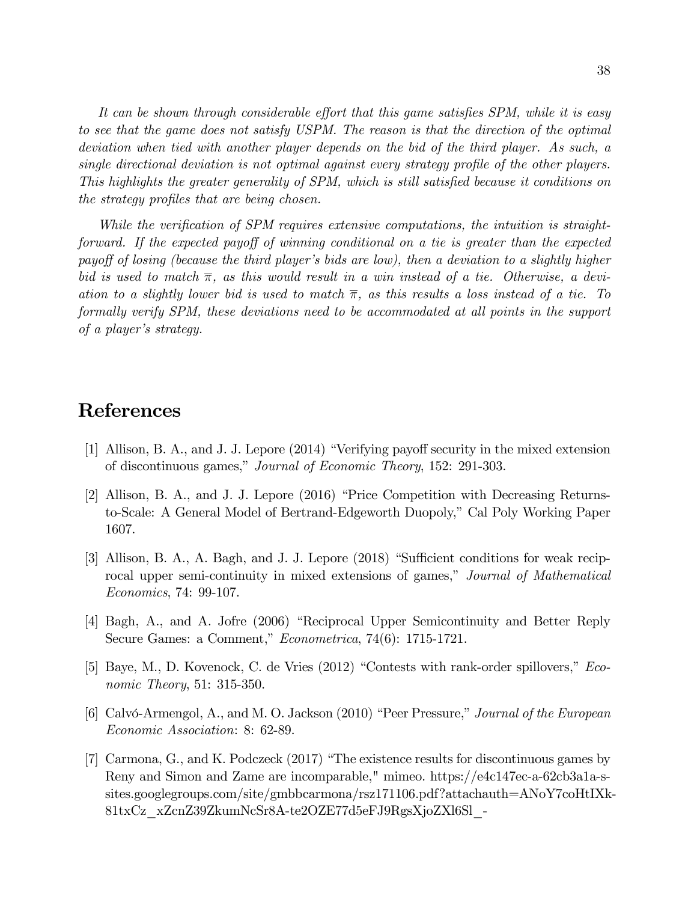It can be shown through considerable effort that this game satisfies SPM, while it is easy to see that the game does not satisfy USPM. The reason is that the direction of the optimal deviation when tied with another player depends on the bid of the third player. As such, a single directional deviation is not optimal against every strategy profile of the other players. This highlights the greater generality of SPM, which is still satisfied because it conditions on the strategy profiles that are being chosen.

While the verification of SPM requires extensive computations, the intuition is straightforward. If the expected payoff of winning conditional on a tie is greater than the expected payoff of losing (because the third player's bids are low), then a deviation to a slightly higher bid is used to match  $\overline{\pi}$ , as this would result in a win instead of a tie. Otherwise, a deviation to a slightly lower bid is used to match  $\overline{\pi}$ , as this results a loss instead of a tie. To formally verify SPM, these deviations need to be accommodated at all points in the support of a player's strategy.

## References

- [1] Allison, B. A., and J. J. Lepore (2014) "Verifying payoff security in the mixed extension of discontinuous games," Journal of Economic Theory, 152: 291-303.
- [2] Allison, B. A., and J. J. Lepore (2016) "Price Competition with Decreasing Returnsto-Scale: A General Model of Bertrand-Edgeworth Duopoly," Cal Poly Working Paper 1607.
- [3] Allison, B. A., A. Bagh, and J. J. Lepore (2018) "Sufficient conditions for weak reciprocal upper semi-continuity in mixed extensions of games," Journal of Mathematical *Economics*, 74: 99-107.
- [4] Bagh, A., and A. Jofre (2006) "Reciprocal Upper Semicontinuity and Better Reply Secure Games: a Comment," *Econometrica*, 74(6): 1715-1721.
- [5] Baye, M., D. Kovenock, C. de Vries (2012) "Contests with rank-order spillovers," Eco*nomic Theory*, 51: 315-350.
- [6] Calvó-Armengol, A., and M. O. Jackson (2010) "Peer Pressure," Journal of the European *Economic Association: 8: 62-89.*
- [7] Carmona, G., and K. Podczeck (2017) "The existence results for discontinuous games by Reny and Simon and Zame are incomparable," mimeo. https://e4c147ec-a-62cb3a1a-ssites.googlegroups.com/site/gmbbcarmona/rsz171106.pdf?attachauth=ANoY7coHtIXk-81txCz xZcnZ39ZkumNcSr8A-te2OZE77d5eFJ9RgsXjoZXl6Sl -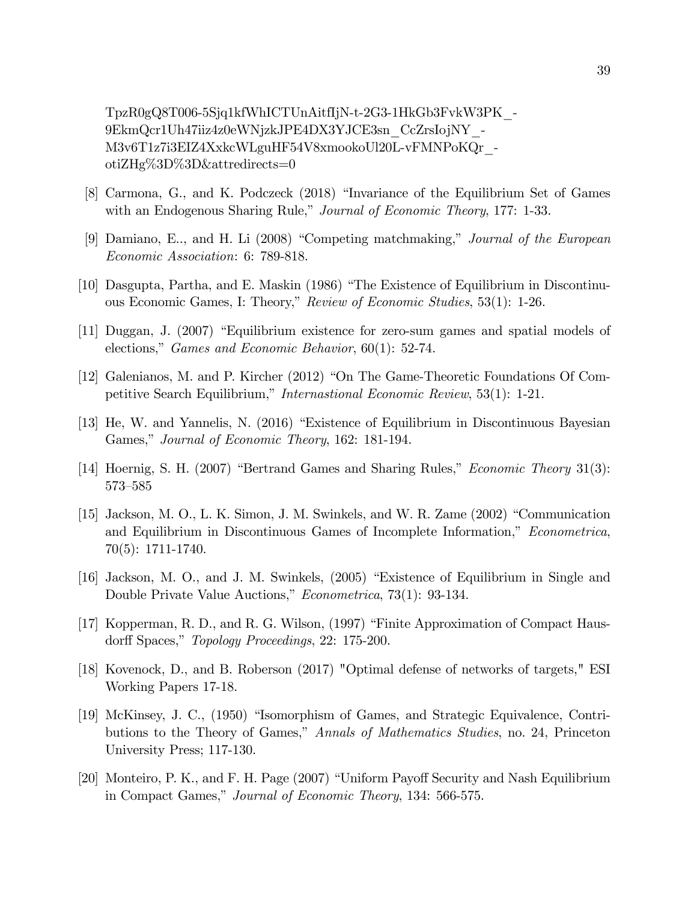TpzR0gQ8T006-5Sjq1kfWhICTUnAitfIjN-t-2G3-1HkGb3FvkW3PK -9EkmQcr1Uh47iiz4z0eWNjzkJPE4DX3YJCE3sn CcZrsIojNY -M3v6T1z7i3EIZ4XxkcWLguHF54V8xmookoUl20L-vFMNPoKQr  $otiZHg\%3D\%3D\&attedirects=0$ 

- [8] Carmona, G., and K. Podczeck (2018) "Invariance of the Equilibrium Set of Games with an Endogenous Sharing Rule," Journal of Economic Theory, 177: 1-33.
- [9] Damiano, E., and H. Li (2008) "Competing matchmaking," Journal of the European *Economic Association:* 6: 789-818.
- [10] Dasgupta, Partha, and E. Maskin (1986) "The Existence of Equilibrium in Discontinuous Economic Games, I: Theory," Review of Economic Studies, 53(1): 1-26.
- [11] Duggan, J. (2007) "Equilibrium existence for zero-sum games and spatial models of elections," *Games and Economic Behavior*,  $60(1)$ : 52-74.
- [12] Galenianos, M. and P. Kircher (2012) "On The Game-Theoretic Foundations Of Competitive Search Equilibrium," *Internastional Economic Review*, 53(1): 1-21.
- [13] He, W. and Yannelis, N. (2016) "Existence of Equilibrium in Discontinuous Bayesian Games," Journal of Economic Theory, 162: 181-194.
- [14] Hoernig, S. H. (2007) "Bertrand Games and Sharing Rules," *Economic Theory* 31(3): 573-585
- [15] Jackson, M. O., L. K. Simon, J. M. Swinkels, and W. R. Zame (2002) "Communication and Equilibrium in Discontinuous Games of Incomplete Information," Econometrica,  $70(5): 1711-1740.$
- [16] Jackson, M. O., and J. M. Swinkels, (2005) "Existence of Equilibrium in Single and Double Private Value Auctions," *Econometrica*, 73(1): 93-134.
- [17] Kopperman, R. D., and R. G. Wilson, (1997) "Finite Approximation of Compact Hausdorff Spaces," Topology Proceedings, 22: 175-200.
- [18] Kovenock, D., and B. Roberson (2017) "Optimal defense of networks of targets," ESI Working Papers 17-18.
- [19] McKinsey, J. C., (1950) "Isomorphism of Games, and Strategic Equivalence, Contributions to the Theory of Games," Annals of Mathematics Studies, no. 24, Princeton University Press; 117-130.
- [20] Monteiro, P. K., and F. H. Page (2007) "Uniform Payoff Security and Nash Equilibrium in Compact Games," Journal of Economic Theory, 134: 566-575.